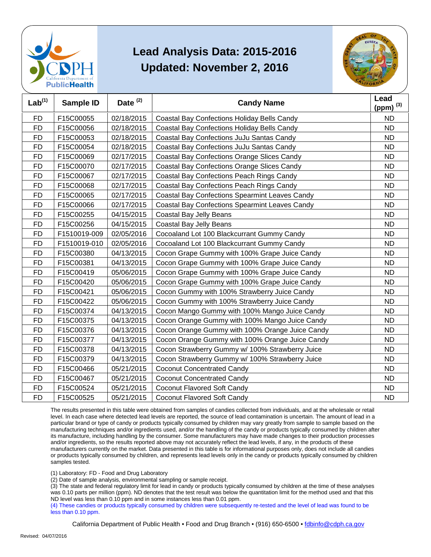



| Lab <sup>(1)</sup> | <b>Sample ID</b> | Date <sup>(2)</sup> | <b>Candy Name</b>                                     | Lead<br>(ppm) $^{(3)}$ |
|--------------------|------------------|---------------------|-------------------------------------------------------|------------------------|
| <b>FD</b>          | F15C00055        | 02/18/2015          | <b>Coastal Bay Confections Holiday Bells Candy</b>    | <b>ND</b>              |
| <b>FD</b>          | F15C00056        | 02/18/2015          | Coastal Bay Confections Holiday Bells Candy           | <b>ND</b>              |
| <b>FD</b>          | F15C00053        | 02/18/2015          | Coastal Bay Confections JuJu Santas Candy             | <b>ND</b>              |
| <b>FD</b>          | F15C00054        | 02/18/2015          | Coastal Bay Confections JuJu Santas Candy             | <b>ND</b>              |
| <b>FD</b>          | F15C00069        | 02/17/2015          | <b>Coastal Bay Confections Orange Slices Candy</b>    | <b>ND</b>              |
| <b>FD</b>          | F15C00070        | 02/17/2015          | <b>Coastal Bay Confections Orange Slices Candy</b>    | <b>ND</b>              |
| <b>FD</b>          | F15C00067        | 02/17/2015          | Coastal Bay Confections Peach Rings Candy             | <b>ND</b>              |
| <b>FD</b>          | F15C00068        | 02/17/2015          | Coastal Bay Confections Peach Rings Candy             | <b>ND</b>              |
| <b>FD</b>          | F15C00065        | 02/17/2015          | <b>Coastal Bay Confections Spearmint Leaves Candy</b> | <b>ND</b>              |
| <b>FD</b>          | F15C00066        | 02/17/2015          | <b>Coastal Bay Confections Spearmint Leaves Candy</b> | <b>ND</b>              |
| <b>FD</b>          | F15C00255        | 04/15/2015          | Coastal Bay Jelly Beans                               | <b>ND</b>              |
| FD                 | F15C00256        | 04/15/2015          | Coastal Bay Jelly Beans                               | <b>ND</b>              |
| <b>FD</b>          | F1510019-009     | 02/05/2016          | Cocoaland Lot 100 Blackcurrant Gummy Candy            | <b>ND</b>              |
| <b>FD</b>          | F1510019-010     | 02/05/2016          | Cocoaland Lot 100 Blackcurrant Gummy Candy            | <b>ND</b>              |
| <b>FD</b>          | F15C00380        | 04/13/2015          | Cocon Grape Gummy with 100% Grape Juice Candy         | <b>ND</b>              |
| <b>FD</b>          | F15C00381        | 04/13/2015          | Cocon Grape Gummy with 100% Grape Juice Candy         | <b>ND</b>              |
| <b>FD</b>          | F15C00419        | 05/06/2015          | Cocon Grape Gummy with 100% Grape Juice Candy         | <b>ND</b>              |
| <b>FD</b>          | F15C00420        | 05/06/2015          | Cocon Grape Gummy with 100% Grape Juice Candy         | <b>ND</b>              |
| <b>FD</b>          | F15C00421        | 05/06/2015          | Cocon Gummy with 100% Strawberry Juice Candy          | <b>ND</b>              |
| <b>FD</b>          | F15C00422        | 05/06/2015          | Cocon Gummy with 100% Strawberry Juice Candy          | <b>ND</b>              |
| <b>FD</b>          | F15C00374        | 04/13/2015          | Cocon Mango Gummy with 100% Mango Juice Candy         | <b>ND</b>              |
| <b>FD</b>          | F15C00375        | 04/13/2015          | Cocon Orange Gummy with 100% Mango Juice Candy        | <b>ND</b>              |
| <b>FD</b>          | F15C00376        | 04/13/2015          | Cocon Orange Gummy with 100% Orange Juice Candy       | <b>ND</b>              |
| <b>FD</b>          | F15C00377        | 04/13/2015          | Cocon Orange Gummy with 100% Orange Juice Candy       | <b>ND</b>              |
| <b>FD</b>          | F15C00378        | 04/13/2015          | Cocon Strawberry Gummy w/ 100% Strawberry Juice       | <b>ND</b>              |
| <b>FD</b>          | F15C00379        | 04/13/2015          | Cocon Strawberry Gummy w/ 100% Strawberry Juice       | <b>ND</b>              |
| <b>FD</b>          | F15C00466        | 05/21/2015          | <b>Coconut Concentrated Candy</b>                     | <b>ND</b>              |
| <b>FD</b>          | F15C00467        | 05/21/2015          | <b>Coconut Concentrated Candy</b>                     | <b>ND</b>              |
| FD                 | F15C00524        | 05/21/2015          | Coconut Flavored Soft Candy                           | <b>ND</b>              |
| <b>FD</b>          | F15C00525        | 05/21/2015          | Coconut Flavored Soft Candy                           | <b>ND</b>              |

 The results presented in this table were obtained from samples of candies collected from individuals, and at the wholesale or retail level. In each case where detected lead levels are reported, the source of lead contamination is uncertain. The amount of lead in a particular brand or type of candy or products typically consumed by children may vary greatly from sample to sample based on the manufacturing techniques and/or ingredients used, and/or the handling of the candy or products typically consumed by children after and/or ingredients, so the results reported above may not accurately reflect the lead levels, if any, in the products of these or products typically consumed by children, and represents lead levels only in the candy or products typically consumed by children its manufacture, including handling by the consumer. Some manufacturers may have made changes to their production processes manufacturers currently on the market. Data presented in this table is for informational purposes only, does not include all candies samples tested.

(1) Laboratory: FD - Food and Drug Laboratory

(2) Date of sample analysis, environmental sampling or sample receipt.

 (3) The state and federal regulatory limit for lead in candy or products typically consumed by children at the time of these analyses ND level was less than 0.10 ppm and in some instances less than 0.01 ppm. was 0.10 parts per million (ppm). ND denotes that the test result was below the quantitation limit for the method used and that this

 (4) These candies or products typically consumed by children were subsequently re-tested and the level of lead was found to be less than 0.10 ppm.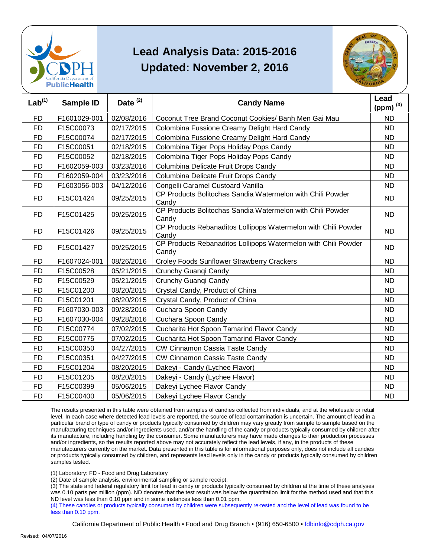



| Lab <sup>(1)</sup> | Sample ID    | Date <sup>(2)</sup> | <b>Candy Name</b>                                                       | Lead<br>(ppm) $^{(3)}$ |
|--------------------|--------------|---------------------|-------------------------------------------------------------------------|------------------------|
| <b>FD</b>          | F1601029-001 | 02/08/2016          | Coconut Tree Brand Coconut Cookies/ Banh Men Gai Mau                    | <b>ND</b>              |
| <b>FD</b>          | F15C00073    | 02/17/2015          | Colombina Fussione Creamy Delight Hard Candy                            | <b>ND</b>              |
| <b>FD</b>          | F15C00074    | 02/17/2015          | Colombina Fussione Creamy Delight Hard Candy                            | <b>ND</b>              |
| <b>FD</b>          | F15C00051    | 02/18/2015          | Colombina Tiger Pops Holiday Pops Candy                                 | <b>ND</b>              |
| <b>FD</b>          | F15C00052    | 02/18/2015          | Colombina Tiger Pops Holiday Pops Candy                                 | <b>ND</b>              |
| <b>FD</b>          | F1602059-003 | 03/23/2016          | Columbina Delicate Fruit Drops Candy                                    | <b>ND</b>              |
| <b>FD</b>          | F1602059-004 | 03/23/2016          | Columbina Delicate Fruit Drops Candy                                    | <b>ND</b>              |
| <b>FD</b>          | F1603056-003 | 04/12/2016          | Congelli Caramel Custoard Vanilla                                       | <b>ND</b>              |
| FD.                | F15C01424    | 09/25/2015          | CP Products Bolitochas Sandia Watermelon with Chili Powder<br>Candy     | ND.                    |
| FD                 | F15C01425    | 09/25/2015          | CP Products Bolitochas Sandia Watermelon with Chili Powder<br>Candy     | <b>ND</b>              |
| FD.                | F15C01426    | 09/25/2015          | CP Products Rebanaditos Lollipops Watermelon with Chili Powder<br>Candy | <b>ND</b>              |
| FD                 | F15C01427    | 09/25/2015          | CP Products Rebanaditos Lollipops Watermelon with Chili Powder<br>Candy | <b>ND</b>              |
| <b>FD</b>          | F1607024-001 | 08/26/2016          | <b>Croley Foods Sunflower Strawberry Crackers</b>                       | <b>ND</b>              |
| <b>FD</b>          | F15C00528    | 05/21/2015          | Crunchy Guanqi Candy                                                    | <b>ND</b>              |
| <b>FD</b>          | F15C00529    | 05/21/2015          | Crunchy Guangi Candy                                                    | <b>ND</b>              |
| <b>FD</b>          | F15C01200    | 08/20/2015          | Crystal Candy, Product of China                                         | <b>ND</b>              |
| <b>FD</b>          | F15C01201    | 08/20/2015          | Crystal Candy, Product of China                                         | <b>ND</b>              |
| <b>FD</b>          | F1607030-003 | 09/28/2016          | Cuchara Spoon Candy                                                     | <b>ND</b>              |
| <b>FD</b>          | F1607030-004 | 09/28/2016          | Cuchara Spoon Candy                                                     | <b>ND</b>              |
| <b>FD</b>          | F15C00774    | 07/02/2015          | Cucharita Hot Spoon Tamarind Flavor Candy                               | <b>ND</b>              |
| <b>FD</b>          | F15C00775    | 07/02/2015          | Cucharita Hot Spoon Tamarind Flavor Candy                               | <b>ND</b>              |
| <b>FD</b>          | F15C00350    | 04/27/2015          | CW Cinnamon Cassia Taste Candy                                          | <b>ND</b>              |
| <b>FD</b>          | F15C00351    | 04/27/2015          | CW Cinnamon Cassia Taste Candy                                          | <b>ND</b>              |
| <b>FD</b>          | F15C01204    | 08/20/2015          | Dakeyi - Candy (Lychee Flavor)                                          | <b>ND</b>              |
| <b>FD</b>          | F15C01205    | 08/20/2015          | Dakeyi - Candy (Lychee Flavor)                                          | <b>ND</b>              |
| <b>FD</b>          | F15C00399    | 05/06/2015          | Dakeyi Lychee Flavor Candy                                              | <b>ND</b>              |
| <b>FD</b>          | F15C00400    | 05/06/2015          | Dakeyi Lychee Flavor Candy                                              | <b>ND</b>              |

 The results presented in this table were obtained from samples of candies collected from individuals, and at the wholesale or retail level. In each case where detected lead levels are reported, the source of lead contamination is uncertain. The amount of lead in a particular brand or type of candy or products typically consumed by children may vary greatly from sample to sample based on the manufacturing techniques and/or ingredients used, and/or the handling of the candy or products typically consumed by children after and/or ingredients, so the results reported above may not accurately reflect the lead levels, if any, in the products of these or products typically consumed by children, and represents lead levels only in the candy or products typically consumed by children its manufacture, including handling by the consumer. Some manufacturers may have made changes to their production processes manufacturers currently on the market. Data presented in this table is for informational purposes only, does not include all candies samples tested.

(1) Laboratory: FD - Food and Drug Laboratory

(2) Date of sample analysis, environmental sampling or sample receipt.

 (3) The state and federal regulatory limit for lead in candy or products typically consumed by children at the time of these analyses ND level was less than 0.10 ppm and in some instances less than 0.01 ppm. was 0.10 parts per million (ppm). ND denotes that the test result was below the quantitation limit for the method used and that this

 (4) These candies or products typically consumed by children were subsequently re-tested and the level of lead was found to be less than 0.10 ppm.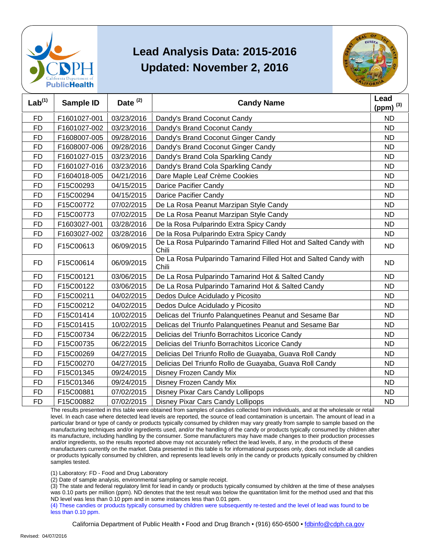



| Lab <sup>(1)</sup> | <b>Sample ID</b> | Date <sup>(2)</sup> | <b>Candy Name</b>                                                        | Lead<br>(ppm) $(3)$ |
|--------------------|------------------|---------------------|--------------------------------------------------------------------------|---------------------|
| <b>FD</b>          | F1601027-001     | 03/23/2016          | Dandy's Brand Coconut Candy                                              | <b>ND</b>           |
| <b>FD</b>          | F1601027-002     | 03/23/2016          | Dandy's Brand Coconut Candy                                              | <b>ND</b>           |
| <b>FD</b>          | F1608007-005     | 09/28/2016          | Dandy's Brand Coconut Ginger Candy                                       | <b>ND</b>           |
| <b>FD</b>          | F1608007-006     | 09/28/2016          | Dandy's Brand Coconut Ginger Candy                                       | <b>ND</b>           |
| <b>FD</b>          | F1601027-015     | 03/23/2016          | Dandy's Brand Cola Sparkling Candy                                       | <b>ND</b>           |
| <b>FD</b>          | F1601027-016     | 03/23/2016          | Dandy's Brand Cola Sparkling Candy                                       | <b>ND</b>           |
| <b>FD</b>          | F1604018-005     | 04/21/2016          | Dare Maple Leaf Crème Cookies                                            | <b>ND</b>           |
| <b>FD</b>          | F15C00293        | 04/15/2015          | Darice Pacifier Candy                                                    | <b>ND</b>           |
| <b>FD</b>          | F15C00294        | 04/15/2015          | Darice Pacifier Candy                                                    | <b>ND</b>           |
| <b>FD</b>          | F15C00772        | 07/02/2015          | De La Rosa Peanut Marzipan Style Candy                                   | <b>ND</b>           |
| <b>FD</b>          | F15C00773        | 07/02/2015          | De La Rosa Peanut Marzipan Style Candy                                   | <b>ND</b>           |
| FD                 | F1603027-001     | 03/28/2016          | De la Rosa Pulparindo Extra Spicy Candy                                  | <b>ND</b>           |
| <b>FD</b>          | F1603027-002     | 03/28/2016          | De la Rosa Pulparindo Extra Spicy Candy                                  | <b>ND</b>           |
| <b>FD</b>          | F15C00613        | 06/09/2015          | De La Rosa Pulparindo Tamarind Filled Hot and Salted Candy with<br>Chili | <b>ND</b>           |
| <b>FD</b>          | F15C00614        | 06/09/2015          | De La Rosa Pulparindo Tamarind Filled Hot and Salted Candy with<br>Chili | ND.                 |
| FD.                | F15C00121        | 03/06/2015          | De La Rosa Pulparindo Tamarind Hot & Salted Candy                        | <b>ND</b>           |
| <b>FD</b>          | F15C00122        | 03/06/2015          | De La Rosa Pulparindo Tamarind Hot & Salted Candy                        | <b>ND</b>           |
| <b>FD</b>          | F15C00211        | 04/02/2015          | Dedos Dulce Acidulado y Picosito                                         | <b>ND</b>           |
| <b>FD</b>          | F15C00212        | 04/02/2015          | Dedos Dulce Acidulado y Picosito                                         | <b>ND</b>           |
| <b>FD</b>          | F15C01414        | 10/02/2015          | Delicas del Triunfo Palanquetines Peanut and Sesame Bar                  | <b>ND</b>           |
| FD                 | F15C01415        | 10/02/2015          | Delicas del Triunfo Palanquetines Peanut and Sesame Bar                  | <b>ND</b>           |
| <b>FD</b>          | F15C00734        | 06/22/2015          | Delicias del Triunfo Borrachitos Licorice Candy                          | <b>ND</b>           |
| <b>FD</b>          | F15C00735        | 06/22/2015          | Delicias del Triunfo Borrachitos Licorice Candy                          | <b>ND</b>           |
| FD                 | F15C00269        | 04/27/2015          | Delicias Del Triunfo Rollo de Guayaba, Guava Roll Candy                  | <b>ND</b>           |
| <b>FD</b>          | F15C00270        | 04/27/2015          | Delicias Del Triunfo Rollo de Guayaba, Guava Roll Candy                  | <b>ND</b>           |
| <b>FD</b>          | F15C01345        | 09/24/2015          | Disney Frozen Candy Mix                                                  | <b>ND</b>           |
| FD                 | F15C01346        | 09/24/2015          | Disney Frozen Candy Mix                                                  | ND                  |
| <b>FD</b>          | F15C00881        | 07/02/2015          | Disney Pixar Cars Candy Lollipops                                        | <b>ND</b>           |
| <b>FD</b>          | F15C00882        | 07/02/2015          | Disney Pixar Cars Candy Lollipops                                        | <b>ND</b>           |

 The results presented in this table were obtained from samples of candies collected from individuals, and at the wholesale or retail level. In each case where detected lead levels are reported, the source of lead contamination is uncertain. The amount of lead in a particular brand or type of candy or products typically consumed by children may vary greatly from sample to sample based on the manufacturing techniques and/or ingredients used, and/or the handling of the candy or products typically consumed by children after and/or ingredients, so the results reported above may not accurately reflect the lead levels, if any, in the products of these or products typically consumed by children, and represents lead levels only in the candy or products typically consumed by children its manufacture, including handling by the consumer. Some manufacturers may have made changes to their production processes manufacturers currently on the market. Data presented in this table is for informational purposes only, does not include all candies samples tested.

(1) Laboratory: FD - Food and Drug Laboratory

(2) Date of sample analysis, environmental sampling or sample receipt.

 (3) The state and federal regulatory limit for lead in candy or products typically consumed by children at the time of these analyses ND level was less than 0.10 ppm and in some instances less than 0.01 ppm. was 0.10 parts per million (ppm). ND denotes that the test result was below the quantitation limit for the method used and that this

 (4) These candies or products typically consumed by children were subsequently re-tested and the level of lead was found to be less than 0.10 ppm.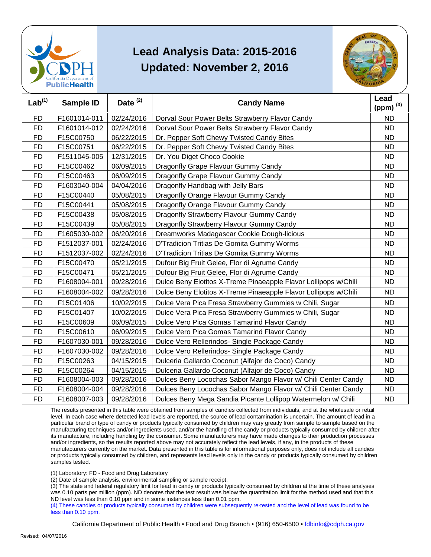



| Lab <sup>(1)</sup> | Sample ID    | Date <sup>(2)</sup> | <b>Candy Name</b>                                               | Lead<br>(ppm) $^{(3)}$ |
|--------------------|--------------|---------------------|-----------------------------------------------------------------|------------------------|
| <b>FD</b>          | F1601014-011 | 02/24/2016          | Dorval Sour Power Belts Strawberry Flavor Candy                 | <b>ND</b>              |
| <b>FD</b>          | F1601014-012 | 02/24/2016          | Dorval Sour Power Belts Strawberry Flavor Candy                 | <b>ND</b>              |
| <b>FD</b>          | F15C00750    | 06/22/2015          | Dr. Pepper Soft Chewy Twisted Candy Bites                       | <b>ND</b>              |
| <b>FD</b>          | F15C00751    | 06/22/2015          | Dr. Pepper Soft Chewy Twisted Candy Bites                       | <b>ND</b>              |
| <b>FD</b>          | F1511045-005 | 12/31/2015          | Dr. You Diget Choco Cookie                                      | <b>ND</b>              |
| <b>FD</b>          | F15C00462    | 06/09/2015          | Dragonfly Grape Flavour Gummy Candy                             | <b>ND</b>              |
| <b>FD</b>          | F15C00463    | 06/09/2015          | Dragonfly Grape Flavour Gummy Candy                             | <b>ND</b>              |
| <b>FD</b>          | F1603040-004 | 04/04/2016          | Dragonfly Handbag with Jelly Bars                               | <b>ND</b>              |
| <b>FD</b>          | F15C00440    | 05/08/2015          | Dragonfly Orange Flavour Gummy Candy                            | <b>ND</b>              |
| <b>FD</b>          | F15C00441    | 05/08/2015          | Dragonfly Orange Flavour Gummy Candy                            | <b>ND</b>              |
| <b>FD</b>          | F15C00438    | 05/08/2015          | Dragonfly Strawberry Flavour Gummy Candy                        | <b>ND</b>              |
| <b>FD</b>          | F15C00439    | 05/08/2015          | Dragonfly Strawberry Flavour Gummy Candy                        | <b>ND</b>              |
| <b>FD</b>          | F1605030-002 | 06/20/2016          | Dreamworks Madagascar Cookie Dough-licious                      | <b>ND</b>              |
| <b>FD</b>          | F1512037-001 | 02/24/2016          | D'Tradicion Tritias De Gomita Gummy Worms                       | <b>ND</b>              |
| <b>FD</b>          | F1512037-002 | 02/24/2016          | D'Tradicion Tritias De Gomita Gummy Worms                       | <b>ND</b>              |
| <b>FD</b>          | F15C00470    | 05/21/2015          | Dufour Big Fruit Gelee, Flor di Agrume Candy                    | <b>ND</b>              |
| <b>FD</b>          | F15C00471    | 05/21/2015          | Dufour Big Fruit Gelee, Flor di Agrume Candy                    | <b>ND</b>              |
| <b>FD</b>          | F1608004-001 | 09/28/2016          | Dulce Beny Elotitos X-Treme Pinaeapple Flavor Lollipops w/Chili | <b>ND</b>              |
| <b>FD</b>          | F1608004-002 | 09/28/2016          | Dulce Beny Elotitos X-Treme Pinaeapple Flavor Lollipops w/Chili | <b>ND</b>              |
| FD                 | F15C01406    | 10/02/2015          | Dulce Vera Pica Fresa Strawberry Gummies w Chili, Sugar         | <b>ND</b>              |
| <b>FD</b>          | F15C01407    | 10/02/2015          | Dulce Vera Pica Fresa Strawberry Gummies w Chili, Sugar         | <b>ND</b>              |
| <b>FD</b>          | F15C00609    | 06/09/2015          | Dulce Vero Pica Gomas Tamarind Flavor Candy                     | <b>ND</b>              |
| <b>FD</b>          | F15C00610    | 06/09/2015          | Dulce Vero Pica Gomas Tamarind Flavor Candy                     | <b>ND</b>              |
| <b>FD</b>          | F1607030-001 | 09/28/2016          | Dulce Vero Rellerindos- Single Package Candy                    | <b>ND</b>              |
| <b>FD</b>          | F1607030-002 | 09/28/2016          | Dulce Vero Rellerindos- Single Package Candy                    | <b>ND</b>              |
| <b>FD</b>          | F15C00263    | 04/15/2015          | Dulceria Gallardo Coconut (Alfajor de Coco) Candy               | <b>ND</b>              |
| <b>FD</b>          | F15C00264    | 04/15/2015          | Dulceria Gallardo Coconut (Alfajor de Coco) Candy               | <b>ND</b>              |
| <b>FD</b>          | F1608004-003 | 09/28/2016          | Dulces Beny Locochas Sabor Mango Flavor w/ Chili Center Candy   | <b>ND</b>              |
| <b>FD</b>          | F1608004-004 | 09/28/2016          | Dulces Beny Locochas Sabor Mango Flavor w/ Chili Center Candy   | <b>ND</b>              |
| <b>FD</b>          | F1608007-003 | 09/28/2016          | Dulces Beny Mega Sandia Picante Lollipop Watermelon w/ Chili    | <b>ND</b>              |

 The results presented in this table were obtained from samples of candies collected from individuals, and at the wholesale or retail level. In each case where detected lead levels are reported, the source of lead contamination is uncertain. The amount of lead in a particular brand or type of candy or products typically consumed by children may vary greatly from sample to sample based on the manufacturing techniques and/or ingredients used, and/or the handling of the candy or products typically consumed by children after and/or ingredients, so the results reported above may not accurately reflect the lead levels, if any, in the products of these or products typically consumed by children, and represents lead levels only in the candy or products typically consumed by children its manufacture, including handling by the consumer. Some manufacturers may have made changes to their production processes manufacturers currently on the market. Data presented in this table is for informational purposes only, does not include all candies samples tested.

(1) Laboratory: FD - Food and Drug Laboratory

(2) Date of sample analysis, environmental sampling or sample receipt.

 (3) The state and federal regulatory limit for lead in candy or products typically consumed by children at the time of these analyses ND level was less than 0.10 ppm and in some instances less than 0.01 ppm. was 0.10 parts per million (ppm). ND denotes that the test result was below the quantitation limit for the method used and that this

 (4) These candies or products typically consumed by children were subsequently re-tested and the level of lead was found to be less than 0.10 ppm.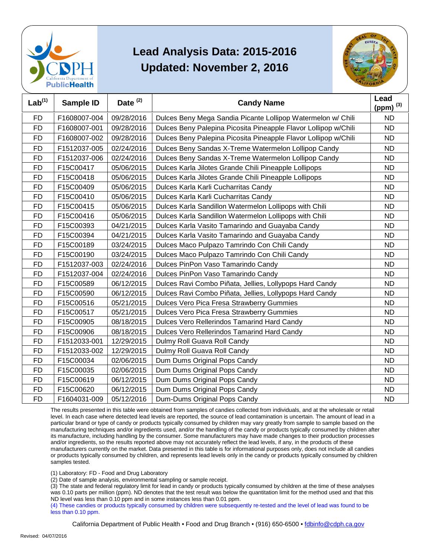



| Lab <sup>(1)</sup> | Sample ID    | Date <sup>(2)</sup> | <b>Candy Name</b>                                               | Lead<br>(ppm) $^{(3)}$ |
|--------------------|--------------|---------------------|-----------------------------------------------------------------|------------------------|
| <b>FD</b>          | F1608007-004 | 09/28/2016          |                                                                 | <b>ND</b>              |
|                    |              |                     | Dulces Beny Mega Sandia Picante Lollipop Watermelon w/ Chili    |                        |
| <b>FD</b>          | F1608007-001 | 09/28/2016          | Dulces Beny Palepina Picosita Pineapple Flavor Lollipop w/Chili | <b>ND</b>              |
| <b>FD</b>          | F1608007-002 | 09/28/2016          | Dulces Beny Palepina Picosita Pineapple Flavor Lollipop w/Chili | <b>ND</b>              |
| <b>FD</b>          | F1512037-005 | 02/24/2016          | Dulces Beny Sandas X-Treme Watermelon Lollipop Candy            | <b>ND</b>              |
| <b>FD</b>          | F1512037-006 | 02/24/2016          | Dulces Beny Sandas X-Treme Watermelon Lollipop Candy            | <b>ND</b>              |
| <b>FD</b>          | F15C00417    | 05/06/2015          | Dulces Karla Jilotes Grande Chili Pineapple Lollipops           | <b>ND</b>              |
| <b>FD</b>          | F15C00418    | 05/06/2015          | Dulces Karla Jilotes Grande Chili Pineapple Lollipops           | <b>ND</b>              |
| <b>FD</b>          | F15C00409    | 05/06/2015          | Dulces Karla Karli Cucharritas Candy                            | <b>ND</b>              |
| <b>FD</b>          | F15C00410    | 05/06/2015          | Dulces Karla Karli Cucharritas Candy                            | <b>ND</b>              |
| <b>FD</b>          | F15C00415    | 05/06/2015          | Dulces Karla Sandillon Watermelon Lollipops with Chili          | <b>ND</b>              |
| <b>FD</b>          | F15C00416    | 05/06/2015          | Dulces Karla Sandillon Watermelon Lollipops with Chili          | <b>ND</b>              |
| <b>FD</b>          | F15C00393    | 04/21/2015          | Dulces Karla Vasito Tamarindo and Guayaba Candy                 | <b>ND</b>              |
| <b>FD</b>          | F15C00394    | 04/21/2015          | Dulces Karla Vasito Tamarindo and Guayaba Candy                 | <b>ND</b>              |
| <b>FD</b>          | F15C00189    | 03/24/2015          | Dulces Maco Pulpazo Tamrindo Con Chili Candy                    | <b>ND</b>              |
| <b>FD</b>          | F15C00190    | 03/24/2015          | Dulces Maco Pulpazo Tamrindo Con Chili Candy                    | <b>ND</b>              |
| <b>FD</b>          | F1512037-003 | 02/24/2016          | Dulces PinPon Vaso Tamarindo Candy                              | <b>ND</b>              |
| <b>FD</b>          | F1512037-004 | 02/24/2016          | Dulces PinPon Vaso Tamarindo Candy                              | <b>ND</b>              |
| <b>FD</b>          | F15C00589    | 06/12/2015          | Dulces Ravi Combo Piñata, Jellies, Lollypops Hard Candy         | <b>ND</b>              |
| <b>FD</b>          | F15C00590    | 06/12/2015          | Dulces Ravi Combo Piñata, Jellies, Lollypops Hard Candy         | <b>ND</b>              |
| <b>FD</b>          | F15C00516    | 05/21/2015          | Dulces Vero Pica Fresa Strawberry Gummies                       | <b>ND</b>              |
| <b>FD</b>          | F15C00517    | 05/21/2015          | Dulces Vero Pica Fresa Strawberry Gummies                       | <b>ND</b>              |
| <b>FD</b>          | F15C00905    | 08/18/2015          | Dulces Vero Rellerindos Tamarind Hard Candy                     | <b>ND</b>              |
| <b>FD</b>          | F15C00906    | 08/18/2015          | Dulces Vero Rellerindos Tamarind Hard Candy                     | <b>ND</b>              |
| <b>FD</b>          | F1512033-001 | 12/29/2015          | Dulmy Roll Guava Roll Candy                                     | <b>ND</b>              |
| <b>FD</b>          | F1512033-002 | 12/29/2015          | Dulmy Roll Guava Roll Candy                                     | <b>ND</b>              |
| <b>FD</b>          | F15C00034    | 02/06/2015          | Dum Dums Original Pops Candy                                    | <b>ND</b>              |
| <b>FD</b>          | F15C00035    | 02/06/2015          | Dum Dums Original Pops Candy                                    | <b>ND</b>              |
| <b>FD</b>          | F15C00619    | 06/12/2015          | Dum Dums Original Pops Candy                                    | <b>ND</b>              |
| <b>FD</b>          | F15C00620    | 06/12/2015          | Dum Dums Original Pops Candy                                    | <b>ND</b>              |
| <b>FD</b>          | F1604031-009 | 05/12/2016          | Dum-Dums Original Pops Candy                                    | <b>ND</b>              |

 The results presented in this table were obtained from samples of candies collected from individuals, and at the wholesale or retail level. In each case where detected lead levels are reported, the source of lead contamination is uncertain. The amount of lead in a particular brand or type of candy or products typically consumed by children may vary greatly from sample to sample based on the manufacturing techniques and/or ingredients used, and/or the handling of the candy or products typically consumed by children after and/or ingredients, so the results reported above may not accurately reflect the lead levels, if any, in the products of these or products typically consumed by children, and represents lead levels only in the candy or products typically consumed by children its manufacture, including handling by the consumer. Some manufacturers may have made changes to their production processes manufacturers currently on the market. Data presented in this table is for informational purposes only, does not include all candies samples tested.

(1) Laboratory: FD - Food and Drug Laboratory

(2) Date of sample analysis, environmental sampling or sample receipt.

 (3) The state and federal regulatory limit for lead in candy or products typically consumed by children at the time of these analyses ND level was less than 0.10 ppm and in some instances less than 0.01 ppm. was 0.10 parts per million (ppm). ND denotes that the test result was below the quantitation limit for the method used and that this

 (4) These candies or products typically consumed by children were subsequently re-tested and the level of lead was found to be less than 0.10 ppm.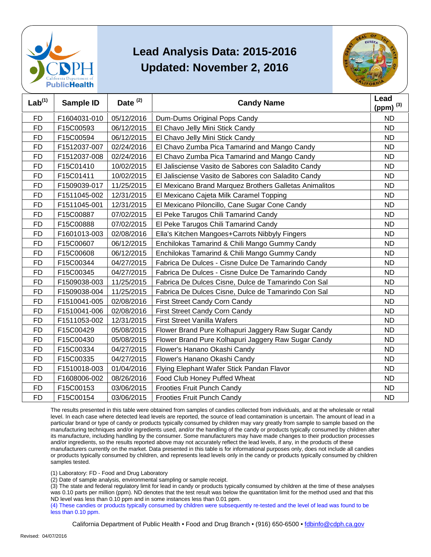



| Lab <sup>(1)</sup> | <b>Sample ID</b> | Date <sup>(2)</sup> | <b>Candy Name</b>                                      | Lead<br>(ppm) $^{(3)}$ |
|--------------------|------------------|---------------------|--------------------------------------------------------|------------------------|
| <b>FD</b>          | F1604031-010     | 05/12/2016          | Dum-Dums Original Pops Candy                           | <b>ND</b>              |
| <b>FD</b>          | F15C00593        | 06/12/2015          | El Chavo Jelly Mini Stick Candy                        | <b>ND</b>              |
| <b>FD</b>          | F15C00594        | 06/12/2015          | El Chavo Jelly Mini Stick Candy                        | <b>ND</b>              |
| <b>FD</b>          | F1512037-007     | 02/24/2016          | El Chavo Zumba Pica Tamarind and Mango Candy           | <b>ND</b>              |
| FD                 | F1512037-008     | 02/24/2016          | El Chavo Zumba Pica Tamarind and Mango Candy           | <b>ND</b>              |
| <b>FD</b>          | F15C01410        | 10/02/2015          | El Jalisciense Vasito de Sabores con Saladito Candy    | <b>ND</b>              |
| <b>FD</b>          | F15C01411        | 10/02/2015          | El Jalisciense Vasito de Sabores con Saladito Candy    | <b>ND</b>              |
| <b>FD</b>          | F1509039-017     | 11/25/2015          | El Mexicano Brand Marquez Brothers Galletas Animalitos | <b>ND</b>              |
| <b>FD</b>          | F1511045-002     | 12/31/2015          | El Mexicano Cajeta Milk Caramel Topping                | <b>ND</b>              |
| <b>FD</b>          | F1511045-001     | 12/31/2015          | El Mexicano Piloncillo, Cane Sugar Cone Candy          | <b>ND</b>              |
| <b>FD</b>          | F15C00887        | 07/02/2015          | El Peke Tarugos Chili Tamarind Candy                   | <b>ND</b>              |
| <b>FD</b>          | F15C00888        | 07/02/2015          | El Peke Tarugos Chili Tamarind Candy                   | <b>ND</b>              |
| <b>FD</b>          | F1601013-003     | 02/08/2016          | Ella's Kitchen Mangoes+Carrots Nibbyly Fingers         | <b>ND</b>              |
| <b>FD</b>          | F15C00607        | 06/12/2015          | Enchilokas Tamarind & Chili Mango Gummy Candy          | <b>ND</b>              |
| <b>FD</b>          | F15C00608        | 06/12/2015          | Enchilokas Tamarind & Chili Mango Gummy Candy          | <b>ND</b>              |
| <b>FD</b>          | F15C00344        | 04/27/2015          | Fabrica De Dulces - Cisne Dulce De Tamarindo Candy     | <b>ND</b>              |
| <b>FD</b>          | F15C00345        | 04/27/2015          | Fabrica De Dulces - Cisne Dulce De Tamarindo Candy     | <b>ND</b>              |
| <b>FD</b>          | F1509038-003     | 11/25/2015          | Fabrica De Dulces Cisne, Dulce de Tamarindo Con Sal    | <b>ND</b>              |
| <b>FD</b>          | F1509038-004     | 11/25/2015          | Fabrica De Dulces Cisne, Dulce de Tamarindo Con Sal    | <b>ND</b>              |
| <b>FD</b>          | F1510041-005     | 02/08/2016          | First Street Candy Corn Candy                          | <b>ND</b>              |
| <b>FD</b>          | F1510041-006     | 02/08/2016          | First Street Candy Corn Candy                          | <b>ND</b>              |
| <b>FD</b>          | F1511053-002     | 12/31/2015          | <b>First Street Vanilla Wafers</b>                     | <b>ND</b>              |
| FD                 | F15C00429        | 05/08/2015          | Flower Brand Pure Kolhapuri Jaggery Raw Sugar Candy    | <b>ND</b>              |
| <b>FD</b>          | F15C00430        | 05/08/2015          | Flower Brand Pure Kolhapuri Jaggery Raw Sugar Candy    | <b>ND</b>              |
| <b>FD</b>          | F15C00334        | 04/27/2015          | Flower's Hanano Okashi Candy                           | <b>ND</b>              |
| <b>FD</b>          | F15C00335        | 04/27/2015          | Flower's Hanano Okashi Candy                           | <b>ND</b>              |
| <b>FD</b>          | F1510018-003     | 01/04/2016          | Flying Elephant Wafer Stick Pandan Flavor              | <b>ND</b>              |
| <b>FD</b>          | F1608006-002     | 08/26/2016          | Food Club Honey Puffed Wheat                           | <b>ND</b>              |
| <b>FD</b>          | F15C00153        | 03/06/2015          | <b>Frooties Fruit Punch Candy</b>                      | <b>ND</b>              |
| <b>FD</b>          | F15C00154        | 03/06/2015          | Frooties Fruit Punch Candy                             | <b>ND</b>              |

 The results presented in this table were obtained from samples of candies collected from individuals, and at the wholesale or retail level. In each case where detected lead levels are reported, the source of lead contamination is uncertain. The amount of lead in a particular brand or type of candy or products typically consumed by children may vary greatly from sample to sample based on the manufacturing techniques and/or ingredients used, and/or the handling of the candy or products typically consumed by children after and/or ingredients, so the results reported above may not accurately reflect the lead levels, if any, in the products of these or products typically consumed by children, and represents lead levels only in the candy or products typically consumed by children its manufacture, including handling by the consumer. Some manufacturers may have made changes to their production processes manufacturers currently on the market. Data presented in this table is for informational purposes only, does not include all candies samples tested.

(1) Laboratory: FD - Food and Drug Laboratory

(2) Date of sample analysis, environmental sampling or sample receipt.

 (3) The state and federal regulatory limit for lead in candy or products typically consumed by children at the time of these analyses ND level was less than 0.10 ppm and in some instances less than 0.01 ppm. was 0.10 parts per million (ppm). ND denotes that the test result was below the quantitation limit for the method used and that this

 (4) These candies or products typically consumed by children were subsequently re-tested and the level of lead was found to be less than 0.10 ppm.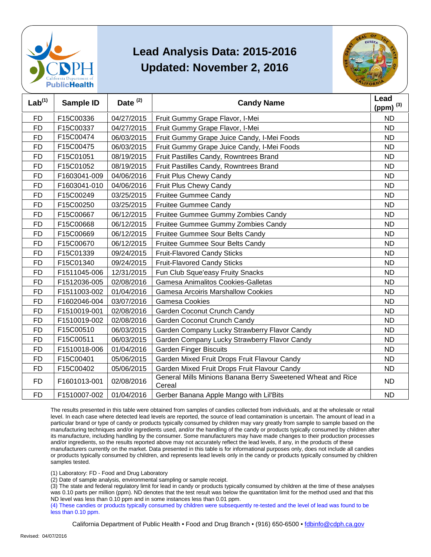



| Lab <sup>(1)</sup> | Sample ID    | Date <sup>(2)</sup> | <b>Candy Name</b>                                                     | Lead<br>(ppm) $^{(3)}$ |
|--------------------|--------------|---------------------|-----------------------------------------------------------------------|------------------------|
| <b>FD</b>          | F15C00336    | 04/27/2015          | Fruit Gummy Grape Flavor, I-Mei                                       | <b>ND</b>              |
| <b>FD</b>          | F15C00337    | 04/27/2015          | Fruit Gummy Grape Flavor, I-Mei                                       | <b>ND</b>              |
| <b>FD</b>          | F15C00474    | 06/03/2015          | Fruit Gummy Grape Juice Candy, I-Mei Foods                            | <b>ND</b>              |
| <b>FD</b>          | F15C00475    | 06/03/2015          | Fruit Gummy Grape Juice Candy, I-Mei Foods                            | <b>ND</b>              |
| <b>FD</b>          | F15C01051    | 08/19/2015          | Fruit Pastilles Candy, Rowntrees Brand                                | <b>ND</b>              |
| <b>FD</b>          | F15C01052    | 08/19/2015          | Fruit Pastilles Candy, Rowntrees Brand                                | <b>ND</b>              |
| <b>FD</b>          | F1603041-009 | 04/06/2016          | Fruit Plus Chewy Candy                                                | <b>ND</b>              |
| <b>FD</b>          | F1603041-010 | 04/06/2016          | Fruit Plus Chewy Candy                                                | <b>ND</b>              |
| <b>FD</b>          | F15C00249    | 03/25/2015          | Fruitee Gummee Candy                                                  | <b>ND</b>              |
| <b>FD</b>          | F15C00250    | 03/25/2015          | <b>Fruitee Gummee Candy</b>                                           | <b>ND</b>              |
| <b>FD</b>          | F15C00667    | 06/12/2015          | Fruitee Gummee Gummy Zombies Candy                                    | <b>ND</b>              |
| <b>FD</b>          | F15C00668    | 06/12/2015          | Fruitee Gummee Gummy Zombies Candy                                    | <b>ND</b>              |
| <b>FD</b>          | F15C00669    | 06/12/2015          | Fruitee Gummee Sour Belts Candy                                       | <b>ND</b>              |
| <b>FD</b>          | F15C00670    | 06/12/2015          | Fruitee Gummee Sour Belts Candy                                       | <b>ND</b>              |
| <b>FD</b>          | F15C01339    | 09/24/2015          | <b>Fruit-Flavored Candy Sticks</b>                                    | <b>ND</b>              |
| <b>FD</b>          | F15C01340    | 09/24/2015          | <b>Fruit-Flavored Candy Sticks</b>                                    | <b>ND</b>              |
| <b>FD</b>          | F1511045-006 | 12/31/2015          | Fun Club Sque'easy Fruity Snacks                                      | <b>ND</b>              |
| <b>FD</b>          | F1512036-005 | 02/08/2016          | Gamesa Animalitos Cookies-Galletas                                    | <b>ND</b>              |
| <b>FD</b>          | F1511003-002 | 01/04/2016          | <b>Gamesa Arcoiris Marshallow Cookies</b>                             | <b>ND</b>              |
| <b>FD</b>          | F1602046-004 | 03/07/2016          | <b>Gamesa Cookies</b>                                                 | <b>ND</b>              |
| <b>FD</b>          | F1510019-001 | 02/08/2016          | Garden Coconut Crunch Candy                                           | <b>ND</b>              |
| <b>FD</b>          | F1510019-002 | 02/08/2016          | Garden Coconut Crunch Candy                                           | <b>ND</b>              |
| <b>FD</b>          | F15C00510    | 06/03/2015          | Garden Company Lucky Strawberry Flavor Candy                          | <b>ND</b>              |
| <b>FD</b>          | F15C00511    | 06/03/2015          | Garden Company Lucky Strawberry Flavor Candy                          | <b>ND</b>              |
| <b>FD</b>          | F1510018-006 | 01/04/2016          | <b>Garden Finger Biscuits</b>                                         | <b>ND</b>              |
| <b>FD</b>          | F15C00401    | 05/06/2015          | Garden Mixed Fruit Drops Fruit Flavour Candy                          | <b>ND</b>              |
| FD                 | F15C00402    | 05/06/2015          | Garden Mixed Fruit Drops Fruit Flavour Candy                          | ND.                    |
| <b>FD</b>          | F1601013-001 | 02/08/2016          | General Mills Minions Banana Berry Sweetened Wheat and Rice<br>Cereal | <b>ND</b>              |
| <b>FD</b>          | F1510007-002 | 01/04/2016          | Gerber Banana Apple Mango with Lil'Bits                               | <b>ND</b>              |

 The results presented in this table were obtained from samples of candies collected from individuals, and at the wholesale or retail level. In each case where detected lead levels are reported, the source of lead contamination is uncertain. The amount of lead in a particular brand or type of candy or products typically consumed by children may vary greatly from sample to sample based on the manufacturing techniques and/or ingredients used, and/or the handling of the candy or products typically consumed by children after and/or ingredients, so the results reported above may not accurately reflect the lead levels, if any, in the products of these or products typically consumed by children, and represents lead levels only in the candy or products typically consumed by children its manufacture, including handling by the consumer. Some manufacturers may have made changes to their production processes manufacturers currently on the market. Data presented in this table is for informational purposes only, does not include all candies samples tested.

(1) Laboratory: FD - Food and Drug Laboratory

(2) Date of sample analysis, environmental sampling or sample receipt.

 (3) The state and federal regulatory limit for lead in candy or products typically consumed by children at the time of these analyses ND level was less than 0.10 ppm and in some instances less than 0.01 ppm. was 0.10 parts per million (ppm). ND denotes that the test result was below the quantitation limit for the method used and that this

 (4) These candies or products typically consumed by children were subsequently re-tested and the level of lead was found to be less than 0.10 ppm.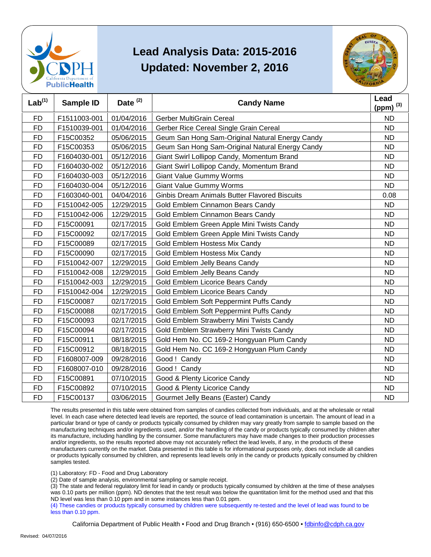



| Lab <sup>(1)</sup> | <b>Sample ID</b> | Date $(2)$ | <b>Candy Name</b>                                    | Lead<br>(ppm) $^{(3)}$ |
|--------------------|------------------|------------|------------------------------------------------------|------------------------|
| <b>FD</b>          | F1511003-001     | 01/04/2016 | <b>Gerber MultiGrain Cereal</b>                      | <b>ND</b>              |
| <b>FD</b>          | F1510039-001     | 01/04/2016 | Gerber Rice Cereal Single Grain Cereal               | <b>ND</b>              |
| <b>FD</b>          | F15C00352        | 05/06/2015 | Geum San Hong Sam-Original Natural Energy Candy      | <b>ND</b>              |
| <b>FD</b>          | F15C00353        | 05/06/2015 | Geum San Hong Sam-Original Natural Energy Candy      | <b>ND</b>              |
| <b>FD</b>          | F1604030-001     | 05/12/2016 | Giant Swirl Lollipop Candy, Momentum Brand           | <b>ND</b>              |
| <b>FD</b>          | F1604030-002     | 05/12/2016 | Giant Swirl Lollipop Candy, Momentum Brand           | <b>ND</b>              |
| <b>FD</b>          | F1604030-003     | 05/12/2016 | <b>Giant Value Gummy Worms</b>                       | <b>ND</b>              |
| <b>FD</b>          | F1604030-004     | 05/12/2016 | <b>Giant Value Gummy Worms</b>                       | <b>ND</b>              |
| <b>FD</b>          | F1603040-001     | 04/04/2016 | <b>Ginbis Dream Animals Butter Flavored Biscuits</b> | 0.08                   |
| <b>FD</b>          | F1510042-005     | 12/29/2015 | Gold Emblem Cinnamon Bears Candy                     | <b>ND</b>              |
| <b>FD</b>          | F1510042-006     | 12/29/2015 | Gold Emblem Cinnamon Bears Candy                     | <b>ND</b>              |
| <b>FD</b>          | F15C00091        | 02/17/2015 | Gold Emblem Green Apple Mini Twists Candy            | <b>ND</b>              |
| <b>FD</b>          | F15C00092        | 02/17/2015 | Gold Emblem Green Apple Mini Twists Candy            | <b>ND</b>              |
| <b>FD</b>          | F15C00089        | 02/17/2015 | Gold Emblem Hostess Mix Candy                        | <b>ND</b>              |
| <b>FD</b>          | F15C00090        | 02/17/2015 | Gold Emblem Hostess Mix Candy                        | <b>ND</b>              |
| <b>FD</b>          | F1510042-007     | 12/29/2015 | Gold Emblem Jelly Beans Candy                        | <b>ND</b>              |
| <b>FD</b>          | F1510042-008     | 12/29/2015 | Gold Emblem Jelly Beans Candy                        | <b>ND</b>              |
| <b>FD</b>          | F1510042-003     | 12/29/2015 | <b>Gold Emblem Licorice Bears Candy</b>              | <b>ND</b>              |
| <b>FD</b>          | F1510042-004     | 12/29/2015 | Gold Emblem Licorice Bears Candy                     | <b>ND</b>              |
| <b>FD</b>          | F15C00087        | 02/17/2015 | Gold Emblem Soft Peppermint Puffs Candy              | <b>ND</b>              |
| <b>FD</b>          | F15C00088        | 02/17/2015 | Gold Emblem Soft Peppermint Puffs Candy              | <b>ND</b>              |
| <b>FD</b>          | F15C00093        | 02/17/2015 | Gold Emblem Strawberry Mini Twists Candy             | <b>ND</b>              |
| <b>FD</b>          | F15C00094        | 02/17/2015 | Gold Emblem Strawberry Mini Twists Candy             | <b>ND</b>              |
| <b>FD</b>          | F15C00911        | 08/18/2015 | Gold Hem No. CC 169-2 Hongyuan Plum Candy            | <b>ND</b>              |
| <b>FD</b>          | F15C00912        | 08/18/2015 | Gold Hem No. CC 169-2 Hongyuan Plum Candy            | <b>ND</b>              |
| <b>FD</b>          | F1608007-009     | 09/28/2016 | Good ! Candy                                         | <b>ND</b>              |
| <b>FD</b>          | F1608007-010     | 09/28/2016 | Good ! Candy                                         | <b>ND</b>              |
| <b>FD</b>          | F15C00891        | 07/10/2015 | Good & Plenty Licorice Candy                         | <b>ND</b>              |
| <b>FD</b>          | F15C00892        | 07/10/2015 | Good & Plenty Licorice Candy                         | <b>ND</b>              |
| <b>FD</b>          | F15C00137        | 03/06/2015 | Gourmet Jelly Beans (Easter) Candy                   | <b>ND</b>              |

 The results presented in this table were obtained from samples of candies collected from individuals, and at the wholesale or retail level. In each case where detected lead levels are reported, the source of lead contamination is uncertain. The amount of lead in a particular brand or type of candy or products typically consumed by children may vary greatly from sample to sample based on the manufacturing techniques and/or ingredients used, and/or the handling of the candy or products typically consumed by children after and/or ingredients, so the results reported above may not accurately reflect the lead levels, if any, in the products of these or products typically consumed by children, and represents lead levels only in the candy or products typically consumed by children its manufacture, including handling by the consumer. Some manufacturers may have made changes to their production processes manufacturers currently on the market. Data presented in this table is for informational purposes only, does not include all candies samples tested.

(1) Laboratory: FD - Food and Drug Laboratory

(2) Date of sample analysis, environmental sampling or sample receipt.

 (3) The state and federal regulatory limit for lead in candy or products typically consumed by children at the time of these analyses ND level was less than 0.10 ppm and in some instances less than 0.01 ppm. was 0.10 parts per million (ppm). ND denotes that the test result was below the quantitation limit for the method used and that this

 (4) These candies or products typically consumed by children were subsequently re-tested and the level of lead was found to be less than 0.10 ppm.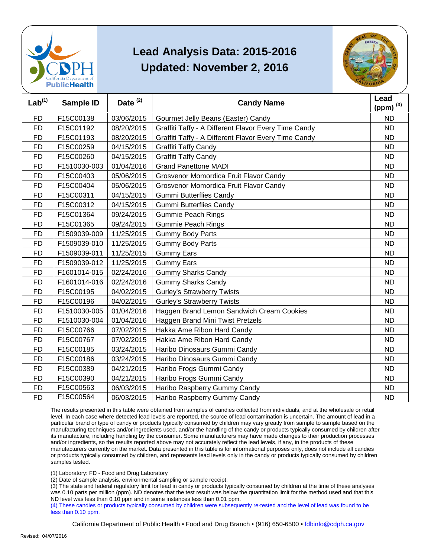



| Lab <sup>(1)</sup> | <b>Sample ID</b> | Date <sup>(2)</sup> | <b>Candy Name</b>                                    | Lead<br>(ppm) $(3)$ |
|--------------------|------------------|---------------------|------------------------------------------------------|---------------------|
| <b>FD</b>          | F15C00138        | 03/06/2015          | Gourmet Jelly Beans (Easter) Candy                   | <b>ND</b>           |
| <b>FD</b>          | F15C01192        | 08/20/2015          | Graffiti Taffy - A Different Flavor Every Time Candy | <b>ND</b>           |
| <b>FD</b>          | F15C01193        | 08/20/2015          | Graffiti Taffy - A Different Flavor Every Time Candy | <b>ND</b>           |
| <b>FD</b>          | F15C00259        | 04/15/2015          | Graffiti Taffy Candy                                 | <b>ND</b>           |
| <b>FD</b>          | F15C00260        | 04/15/2015          | <b>Graffiti Taffy Candy</b>                          | <b>ND</b>           |
| <b>FD</b>          | F1510030-003     | 01/04/2016          | <b>Grand Panettone MADI</b>                          | <b>ND</b>           |
| <b>FD</b>          | F15C00403        | 05/06/2015          | Grosvenor Momordica Fruit Flavor Candy               | <b>ND</b>           |
| <b>FD</b>          | F15C00404        | 05/06/2015          | Grosvenor Momordica Fruit Flavor Candy               | <b>ND</b>           |
| <b>FD</b>          | F15C00311        | 04/15/2015          | <b>Gummi Butterflies Candy</b>                       | <b>ND</b>           |
| <b>FD</b>          | F15C00312        | 04/15/2015          | <b>Gummi Butterflies Candy</b>                       | <b>ND</b>           |
| <b>FD</b>          | F15C01364        | 09/24/2015          | <b>Gummie Peach Rings</b>                            | <b>ND</b>           |
| <b>FD</b>          | F15C01365        | 09/24/2015          | <b>Gummie Peach Rings</b>                            | <b>ND</b>           |
| <b>FD</b>          | F1509039-009     | 11/25/2015          | <b>Gummy Body Parts</b>                              | <b>ND</b>           |
| FD                 | F1509039-010     | 11/25/2015          | <b>Gummy Body Parts</b>                              | <b>ND</b>           |
| <b>FD</b>          | F1509039-011     | 11/25/2015          | <b>Gummy Ears</b>                                    | <b>ND</b>           |
| <b>FD</b>          | F1509039-012     | 11/25/2015          | <b>Gummy Ears</b>                                    | <b>ND</b>           |
| <b>FD</b>          | F1601014-015     | 02/24/2016          | <b>Gummy Sharks Candy</b>                            | <b>ND</b>           |
| <b>FD</b>          | F1601014-016     | 02/24/2016          | <b>Gummy Sharks Candy</b>                            | <b>ND</b>           |
| <b>FD</b>          | F15C00195        | 04/02/2015          | <b>Gurley's Strawberry Twists</b>                    | <b>ND</b>           |
| <b>FD</b>          | F15C00196        | 04/02/2015          | <b>Gurley's Strawberry Twists</b>                    | <b>ND</b>           |
| <b>FD</b>          | F1510030-005     | 01/04/2016          | Haggen Brand Lemon Sandwich Cream Cookies            | <b>ND</b>           |
| <b>FD</b>          | F1510030-004     | 01/04/2016          | Haggen Brand Mini Twist Pretzels                     | <b>ND</b>           |
| <b>FD</b>          | F15C00766        | 07/02/2015          | Hakka Ame Ribon Hard Candy                           | <b>ND</b>           |
| <b>FD</b>          | F15C00767        | 07/02/2015          | Hakka Ame Ribon Hard Candy                           | <b>ND</b>           |
| <b>FD</b>          | F15C00185        | 03/24/2015          | Haribo Dinosaurs Gummi Candy                         | <b>ND</b>           |
| <b>FD</b>          | F15C00186        | 03/24/2015          | Haribo Dinosaurs Gummi Candy                         | <b>ND</b>           |
| <b>FD</b>          | F15C00389        | 04/21/2015          | Haribo Frogs Gummi Candy                             | <b>ND</b>           |
| <b>FD</b>          | F15C00390        | 04/21/2015          | Haribo Frogs Gummi Candy                             | <b>ND</b>           |
| <b>FD</b>          | F15C00563        | 06/03/2015          | Haribo Raspberry Gummy Candy                         | <b>ND</b>           |
| <b>FD</b>          | F15C00564        | 06/03/2015          | Haribo Raspberry Gummy Candy                         | <b>ND</b>           |

 The results presented in this table were obtained from samples of candies collected from individuals, and at the wholesale or retail level. In each case where detected lead levels are reported, the source of lead contamination is uncertain. The amount of lead in a particular brand or type of candy or products typically consumed by children may vary greatly from sample to sample based on the manufacturing techniques and/or ingredients used, and/or the handling of the candy or products typically consumed by children after and/or ingredients, so the results reported above may not accurately reflect the lead levels, if any, in the products of these or products typically consumed by children, and represents lead levels only in the candy or products typically consumed by children its manufacture, including handling by the consumer. Some manufacturers may have made changes to their production processes manufacturers currently on the market. Data presented in this table is for informational purposes only, does not include all candies samples tested.

(1) Laboratory: FD - Food and Drug Laboratory

(2) Date of sample analysis, environmental sampling or sample receipt.

 (3) The state and federal regulatory limit for lead in candy or products typically consumed by children at the time of these analyses ND level was less than 0.10 ppm and in some instances less than 0.01 ppm. was 0.10 parts per million (ppm). ND denotes that the test result was below the quantitation limit for the method used and that this

 (4) These candies or products typically consumed by children were subsequently re-tested and the level of lead was found to be less than 0.10 ppm.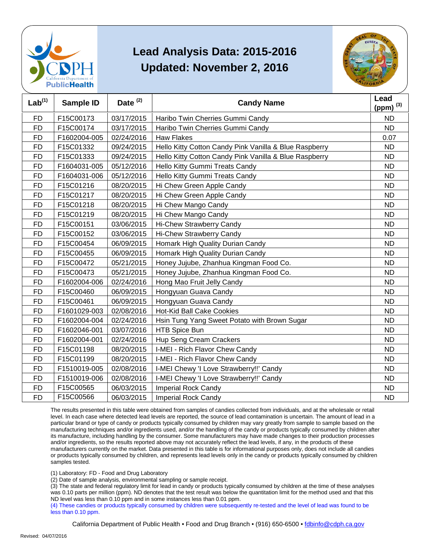



| Lab <sup>(1)</sup> | <b>Sample ID</b> | Date <sup>(2)</sup> | <b>Candy Name</b>                                      | Lead<br>(ppm) $^{(3)}$ |
|--------------------|------------------|---------------------|--------------------------------------------------------|------------------------|
| <b>FD</b>          | F15C00173        | 03/17/2015          | Haribo Twin Cherries Gummi Candy                       | <b>ND</b>              |
| <b>FD</b>          | F15C00174        | 03/17/2015          | Haribo Twin Cherries Gummi Candy                       | <b>ND</b>              |
| <b>FD</b>          | F1602004-005     | 02/24/2016          | <b>Haw Flakes</b>                                      | 0.07                   |
| <b>FD</b>          | F15C01332        | 09/24/2015          | Hello Kitty Cotton Candy Pink Vanilla & Blue Raspberry | <b>ND</b>              |
| <b>FD</b>          | F15C01333        | 09/24/2015          | Hello Kitty Cotton Candy Pink Vanilla & Blue Raspberry | <b>ND</b>              |
| <b>FD</b>          | F1604031-005     | 05/12/2016          | Hello Kitty Gummi Treats Candy                         | <b>ND</b>              |
| FD                 | F1604031-006     | 05/12/2016          | Hello Kitty Gummi Treats Candy                         | <b>ND</b>              |
| <b>FD</b>          | F15C01216        | 08/20/2015          | Hi Chew Green Apple Candy                              | <b>ND</b>              |
| <b>FD</b>          | F15C01217        | 08/20/2015          | Hi Chew Green Apple Candy                              | <b>ND</b>              |
| <b>FD</b>          | F15C01218        | 08/20/2015          | Hi Chew Mango Candy                                    | <b>ND</b>              |
| <b>FD</b>          | F15C01219        | 08/20/2015          | Hi Chew Mango Candy                                    | <b>ND</b>              |
| <b>FD</b>          | F15C00151        | 03/06/2015          | <b>Hi-Chew Strawberry Candy</b>                        | <b>ND</b>              |
| <b>FD</b>          | F15C00152        | 03/06/2015          | Hi-Chew Strawberry Candy                               | <b>ND</b>              |
| FD                 | F15C00454        | 06/09/2015          | Homark High Quality Durian Candy                       | <b>ND</b>              |
| <b>FD</b>          | F15C00455        | 06/09/2015          | Homark High Quality Durian Candy                       | <b>ND</b>              |
| <b>FD</b>          | F15C00472        | 05/21/2015          | Honey Jujube, Zhanhua Kingman Food Co.                 | <b>ND</b>              |
| <b>FD</b>          | F15C00473        | 05/21/2015          | Honey Jujube, Zhanhua Kingman Food Co.                 | <b>ND</b>              |
| <b>FD</b>          | F1602004-006     | 02/24/2016          | Hong Mao Fruit Jelly Candy                             | <b>ND</b>              |
| <b>FD</b>          | F15C00460        | 06/09/2015          | Hongyuan Guava Candy                                   | <b>ND</b>              |
| FD                 | F15C00461        | 06/09/2015          | Hongyuan Guava Candy                                   | <b>ND</b>              |
| <b>FD</b>          | F1601029-003     | 02/08/2016          | <b>Hot-Kid Ball Cake Cookies</b>                       | <b>ND</b>              |
| <b>FD</b>          | F1602004-004     | 02/24/2016          | Hsin Tung Yang Sweet Potato with Brown Sugar           | <b>ND</b>              |
| <b>FD</b>          | F1602046-001     | 03/07/2016          | HTB Spice Bun                                          | <b>ND</b>              |
| <b>FD</b>          | F1602004-001     | 02/24/2016          | Hup Seng Cream Crackers                                | <b>ND</b>              |
| <b>FD</b>          | F15C01198        | 08/20/2015          | I-MEI - Rich Flavor Chew Candy                         | <b>ND</b>              |
| FD                 | F15C01199        | 08/20/2015          | I-MEI - Rich Flavor Chew Candy                         | ND                     |
| <b>FD</b>          | F1510019-005     | 02/08/2016          | I-MEI Chewy 'I Love Strawberry!!' Candy                | <b>ND</b>              |
| <b>FD</b>          | F1510019-006     | 02/08/2016          | I-MEI Chewy 'I Love Strawberry!!' Candy                | <b>ND</b>              |
| <b>FD</b>          | F15C00565        | 06/03/2015          | <b>Imperial Rock Candy</b>                             | <b>ND</b>              |
| <b>FD</b>          | F15C00566        | 06/03/2015          | <b>Imperial Rock Candy</b>                             | <b>ND</b>              |

 The results presented in this table were obtained from samples of candies collected from individuals, and at the wholesale or retail level. In each case where detected lead levels are reported, the source of lead contamination is uncertain. The amount of lead in a particular brand or type of candy or products typically consumed by children may vary greatly from sample to sample based on the manufacturing techniques and/or ingredients used, and/or the handling of the candy or products typically consumed by children after and/or ingredients, so the results reported above may not accurately reflect the lead levels, if any, in the products of these or products typically consumed by children, and represents lead levels only in the candy or products typically consumed by children its manufacture, including handling by the consumer. Some manufacturers may have made changes to their production processes manufacturers currently on the market. Data presented in this table is for informational purposes only, does not include all candies samples tested.

(1) Laboratory: FD - Food and Drug Laboratory

(2) Date of sample analysis, environmental sampling or sample receipt.

 (3) The state and federal regulatory limit for lead in candy or products typically consumed by children at the time of these analyses ND level was less than 0.10 ppm and in some instances less than 0.01 ppm. was 0.10 parts per million (ppm). ND denotes that the test result was below the quantitation limit for the method used and that this

 (4) These candies or products typically consumed by children were subsequently re-tested and the level of lead was found to be less than 0.10 ppm.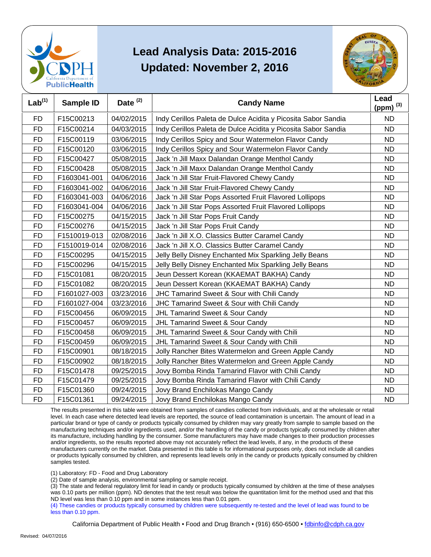



| Lab <sup>(1)</sup> | Sample ID    | Date <sup>(2)</sup> | <b>Candy Name</b>                                             | Lead<br>(ppm) $^{(3)}$ |
|--------------------|--------------|---------------------|---------------------------------------------------------------|------------------------|
| <b>FD</b>          | F15C00213    | 04/02/2015          | Indy Cerillos Paleta de Dulce Acidita y Picosita Sabor Sandia | <b>ND</b>              |
| <b>FD</b>          | F15C00214    | 04/03/2015          | Indy Cerillos Paleta de Dulce Acidita y Picosita Sabor Sandia | <b>ND</b>              |
| <b>FD</b>          | F15C00119    | 03/06/2015          | Indy Cerillos Spicy and Sour Watermelon Flavor Candy          | <b>ND</b>              |
| <b>FD</b>          | F15C00120    | 03/06/2015          | Indy Cerillos Spicy and Sour Watermelon Flavor Candy          | <b>ND</b>              |
| <b>FD</b>          | F15C00427    | 05/08/2015          | Jack 'n Jill Maxx Dalandan Orange Menthol Candy               | <b>ND</b>              |
| <b>FD</b>          | F15C00428    | 05/08/2015          | Jack 'n Jill Maxx Dalandan Orange Menthol Candy               | <b>ND</b>              |
| <b>FD</b>          | F1603041-001 | 04/06/2016          | Jack 'n Jill Star Fruit-Flavored Chewy Candy                  | <b>ND</b>              |
| <b>FD</b>          | F1603041-002 | 04/06/2016          | Jack 'n Jill Star Fruit-Flavored Chewy Candy                  | <b>ND</b>              |
| <b>FD</b>          | F1603041-003 | 04/06/2016          | Jack 'n Jill Star Pops Assorted Fruit Flavored Lollipops      | <b>ND</b>              |
| <b>FD</b>          | F1603041-004 | 04/06/2016          | Jack 'n Jill Star Pops Assorted Fruit Flavored Lollipops      | <b>ND</b>              |
| <b>FD</b>          | F15C00275    | 04/15/2015          | Jack 'n Jill Star Pops Fruit Candy                            | <b>ND</b>              |
| <b>FD</b>          | F15C00276    | 04/15/2015          | Jack 'n Jill Star Pops Fruit Candy                            | <b>ND</b>              |
| <b>FD</b>          | F1510019-013 | 02/08/2016          | Jack 'n Jill X.O. Classics Butter Caramel Candy               | <b>ND</b>              |
| <b>FD</b>          | F1510019-014 | 02/08/2016          | Jack 'n Jill X.O. Classics Butter Caramel Candy               | <b>ND</b>              |
| <b>FD</b>          | F15C00295    | 04/15/2015          | Jelly Belly Disney Enchanted Mix Sparkling Jelly Beans        | <b>ND</b>              |
| <b>FD</b>          | F15C00296    | 04/15/2015          | Jelly Belly Disney Enchanted Mix Sparkling Jelly Beans        | <b>ND</b>              |
| <b>FD</b>          | F15C01081    | 08/20/2015          | Jeun Dessert Korean (KKAEMAT BAKHA) Candy                     | <b>ND</b>              |
| <b>FD</b>          | F15C01082    | 08/20/2015          | Jeun Dessert Korean (KKAEMAT BAKHA) Candy                     | <b>ND</b>              |
| <b>FD</b>          | F1601027-003 | 03/23/2016          | JHC Tamarind Sweet & Sour with Chili Candy                    | <b>ND</b>              |
| <b>FD</b>          | F1601027-004 | 03/23/2016          | JHC Tamarind Sweet & Sour with Chili Candy                    | <b>ND</b>              |
| <b>FD</b>          | F15C00456    | 06/09/2015          | <b>JHL Tamarind Sweet &amp; Sour Candy</b>                    | <b>ND</b>              |
| <b>FD</b>          | F15C00457    | 06/09/2015          | <b>JHL Tamarind Sweet &amp; Sour Candy</b>                    | <b>ND</b>              |
| <b>FD</b>          | F15C00458    | 06/09/2015          | JHL Tamarind Sweet & Sour Candy with Chili                    | <b>ND</b>              |
| <b>FD</b>          | F15C00459    | 06/09/2015          | JHL Tamarind Sweet & Sour Candy with Chili                    | <b>ND</b>              |
| <b>FD</b>          | F15C00901    | 08/18/2015          | Jolly Rancher Bites Watermelon and Green Apple Candy          | <b>ND</b>              |
| <b>FD</b>          | F15C00902    | 08/18/2015          | Jolly Rancher Bites Watermelon and Green Apple Candy          | <b>ND</b>              |
| <b>FD</b>          | F15C01478    | 09/25/2015          | Jovy Bomba Rinda Tamarind Flavor with Chili Candy             | <b>ND</b>              |
| <b>FD</b>          | F15C01479    | 09/25/2015          | Jovy Bomba Rinda Tamarind Flavor with Chili Candy             | <b>ND</b>              |
| <b>FD</b>          | F15C01360    | 09/24/2015          | Jovy Brand Enchilokas Mango Candy                             | <b>ND</b>              |
| <b>FD</b>          | F15C01361    | 09/24/2015          | Jovy Brand Enchilokas Mango Candy                             | <b>ND</b>              |

 The results presented in this table were obtained from samples of candies collected from individuals, and at the wholesale or retail level. In each case where detected lead levels are reported, the source of lead contamination is uncertain. The amount of lead in a particular brand or type of candy or products typically consumed by children may vary greatly from sample to sample based on the manufacturing techniques and/or ingredients used, and/or the handling of the candy or products typically consumed by children after and/or ingredients, so the results reported above may not accurately reflect the lead levels, if any, in the products of these or products typically consumed by children, and represents lead levels only in the candy or products typically consumed by children its manufacture, including handling by the consumer. Some manufacturers may have made changes to their production processes manufacturers currently on the market. Data presented in this table is for informational purposes only, does not include all candies samples tested.

(1) Laboratory: FD - Food and Drug Laboratory

(2) Date of sample analysis, environmental sampling or sample receipt.

 (3) The state and federal regulatory limit for lead in candy or products typically consumed by children at the time of these analyses ND level was less than 0.10 ppm and in some instances less than 0.01 ppm. was 0.10 parts per million (ppm). ND denotes that the test result was below the quantitation limit for the method used and that this

 (4) These candies or products typically consumed by children were subsequently re-tested and the level of lead was found to be less than 0.10 ppm.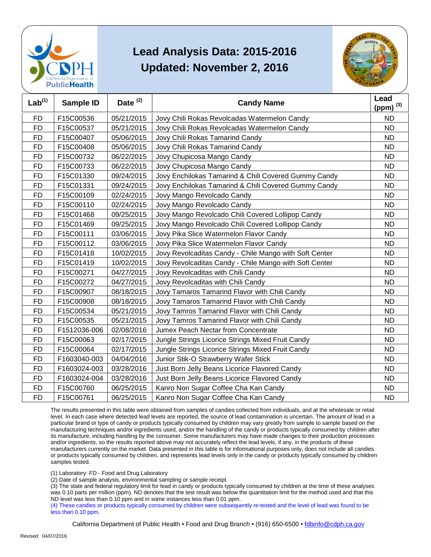



| Lab <sup>(1)</sup> | <b>Sample ID</b> | Date $(2)$ | <b>Candy Name</b>                                      | Lead<br>(ppm) $^{(3)}$ |
|--------------------|------------------|------------|--------------------------------------------------------|------------------------|
| <b>FD</b>          | F15C00536        | 05/21/2015 | Jovy Chili Rokas Revolcadas Watermelon Candy           | <b>ND</b>              |
| <b>FD</b>          | F15C00537        | 05/21/2015 | Jovy Chili Rokas Revolcadas Watermelon Candy           | <b>ND</b>              |
| <b>FD</b>          | F15C00407        | 05/06/2015 | Jovy Chili Rokas Tamarind Candy                        | <b>ND</b>              |
| <b>FD</b>          | F15C00408        | 05/06/2015 | Jovy Chili Rokas Tamarind Candy                        | <b>ND</b>              |
| <b>FD</b>          | F15C00732        | 06/22/2015 | Jovy Chupicosa Mango Candy                             | <b>ND</b>              |
| <b>FD</b>          | F15C00733        | 06/22/2015 | Jovy Chupicosa Mango Candy                             | <b>ND</b>              |
| <b>FD</b>          | F15C01330        | 09/24/2015 | Jovy Enchilokas Tamarind & Chili Covered Gummy Candy   | <b>ND</b>              |
| <b>FD</b>          | F15C01331        | 09/24/2015 | Jovy Enchilokas Tamarind & Chili Covered Gummy Candy   | <b>ND</b>              |
| <b>FD</b>          | F15C00109        | 02/24/2015 | Jovy Mango Revolcado Candy                             | <b>ND</b>              |
| <b>FD</b>          | F15C00110        | 02/24/2015 | Jovy Mango Revolcado Candy                             | <b>ND</b>              |
| <b>FD</b>          | F15C01468        | 09/25/2015 | Jovy Mango Revolcado Chili Covered Lollipop Candy      | <b>ND</b>              |
| <b>FD</b>          | F15C01469        | 09/25/2015 | Jovy Mango Revolcado Chili Covered Lollipop Candy      | <b>ND</b>              |
| <b>FD</b>          | F15C00111        | 03/06/2015 | Jovy Pika Slice Watermelon Flavor Candy                | <b>ND</b>              |
| <b>FD</b>          | F15C00112        | 03/06/2015 | Jovy Pika Slice Watermelon Flavor Candy                | <b>ND</b>              |
| <b>FD</b>          | F15C01418        | 10/02/2015 | Jovy Revolcaditas Candy - Chile Mango with Soft Center | <b>ND</b>              |
| <b>FD</b>          | F15C01419        | 10/02/2015 | Jovy Revolcaditas Candy - Chile Mango with Soft Center | <b>ND</b>              |
| FD                 | F15C00271        | 04/27/2015 | Jovy Revolcaditas with Chili Candy                     | <b>ND</b>              |
| <b>FD</b>          | F15C00272        | 04/27/2015 | Jovy Revolcaditas with Chili Candy                     | <b>ND</b>              |
| <b>FD</b>          | F15C00907        | 08/18/2015 | Jovy Tamaros Tamarind Flavor with Chili Candy          | <b>ND</b>              |
| <b>FD</b>          | F15C00908        | 08/18/2015 | Jovy Tamaros Tamarind Flavor with Chili Candy          | <b>ND</b>              |
| <b>FD</b>          | F15C00534        | 05/21/2015 | Jovy Tamros Tamarind Flavor with Chili Candy           | <b>ND</b>              |
| <b>FD</b>          | F15C00535        | 05/21/2015 | Jovy Tamros Tamarind Flavor with Chili Candy           | <b>ND</b>              |
| <b>FD</b>          | F1512036-006     | 02/08/2016 | Jumex Peach Nectar from Concentrate                    | <b>ND</b>              |
| <b>FD</b>          | F15C00063        | 02/17/2015 | Jungle Strings Licorice Strings Mixed Fruit Candy      | <b>ND</b>              |
| <b>FD</b>          | F15C00064        | 02/17/2015 | Jungle Strings Licorice Strings Mixed Fruit Candy      | <b>ND</b>              |
| FD                 | F1603040-003     | 04/04/2016 | Junior Stik-O Strawberry Wafer Stick                   | <b>ND</b>              |
| <b>FD</b>          | F1603024-003     | 03/28/2016 | Just Born Jelly Beans Licorice Flavored Candy          | <b>ND</b>              |
| <b>FD</b>          | F1603024-004     | 03/28/2016 | Just Born Jelly Beans Licorice Flavored Candy          | <b>ND</b>              |
| <b>FD</b>          | F15C00760        | 06/25/2015 | Kanro Non Sugar Coffee Cha Kan Candy                   | <b>ND</b>              |
| <b>FD</b>          | F15C00761        | 06/25/2015 | Kanro Non Sugar Coffee Cha Kan Candy                   | <b>ND</b>              |

 The results presented in this table were obtained from samples of candies collected from individuals, and at the wholesale or retail level. In each case where detected lead levels are reported, the source of lead contamination is uncertain. The amount of lead in a particular brand or type of candy or products typically consumed by children may vary greatly from sample to sample based on the manufacturing techniques and/or ingredients used, and/or the handling of the candy or products typically consumed by children after and/or ingredients, so the results reported above may not accurately reflect the lead levels, if any, in the products of these or products typically consumed by children, and represents lead levels only in the candy or products typically consumed by children its manufacture, including handling by the consumer. Some manufacturers may have made changes to their production processes manufacturers currently on the market. Data presented in this table is for informational purposes only, does not include all candies samples tested.

(1) Laboratory: FD - Food and Drug Laboratory

(2) Date of sample analysis, environmental sampling or sample receipt.

 (3) The state and federal regulatory limit for lead in candy or products typically consumed by children at the time of these analyses ND level was less than 0.10 ppm and in some instances less than 0.01 ppm. was 0.10 parts per million (ppm). ND denotes that the test result was below the quantitation limit for the method used and that this

 (4) These candies or products typically consumed by children were subsequently re-tested and the level of lead was found to be less than 0.10 ppm.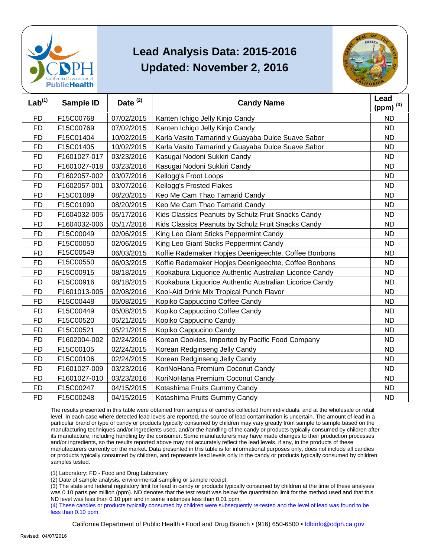



| Lab <sup>(1)</sup> | <b>Sample ID</b> | Date $(2)$ | <b>Candy Name</b>                                       | Lead<br>(ppm) $^{(3)}$ |
|--------------------|------------------|------------|---------------------------------------------------------|------------------------|
| <b>FD</b>          | F15C00768        | 07/02/2015 | Kanten Ichigo Jelly Kinjo Candy                         | <b>ND</b>              |
| <b>FD</b>          | F15C00769        | 07/02/2015 | Kanten Ichigo Jelly Kinjo Candy                         | <b>ND</b>              |
| <b>FD</b>          | F15C01404        | 10/02/2015 | Karla Vasito Tamarind y Guayaba Dulce Suave Sabor       | <b>ND</b>              |
| <b>FD</b>          | F15C01405        | 10/02/2015 | Karla Vasito Tamarind y Guayaba Dulce Suave Sabor       | <b>ND</b>              |
| FD                 | F1601027-017     | 03/23/2016 | Kasugai Nodoni Sukkiri Candy                            | ND                     |
| <b>FD</b>          | F1601027-018     | 03/23/2016 | Kasugai Nodoni Sukkiri Candy                            | <b>ND</b>              |
| <b>FD</b>          | F1602057-002     | 03/07/2016 | Kellogg's Froot Loops                                   | <b>ND</b>              |
| <b>FD</b>          | F1602057-001     | 03/07/2016 | Kellogg's Frosted Flakes                                | <b>ND</b>              |
| <b>FD</b>          | F15C01089        | 08/20/2015 | Keo Me Cam Thao Tamarid Candy                           | <b>ND</b>              |
| <b>FD</b>          | F15C01090        | 08/20/2015 | Keo Me Cam Thao Tamarid Candy                           | <b>ND</b>              |
| FD                 | F1604032-005     | 05/17/2016 | Kids Classics Peanuts by Schulz Fruit Snacks Candy      | <b>ND</b>              |
| <b>FD</b>          | F1604032-006     | 05/17/2016 | Kids Classics Peanuts by Schulz Fruit Snacks Candy      | <b>ND</b>              |
| <b>FD</b>          | F15C00049        | 02/06/2015 | King Leo Giant Sticks Peppermint Candy                  | <b>ND</b>              |
| FD                 | F15C00050        | 02/06/2015 | King Leo Giant Sticks Peppermint Candy                  | ND                     |
| <b>FD</b>          | F15C00549        | 06/03/2015 | Koffie Rademaker Hopjes Deenigeechte, Coffee Bonbons    | <b>ND</b>              |
| <b>FD</b>          | F15C00550        | 06/03/2015 | Koffie Rademaker Hopjes Deenigeechte, Coffee Bonbons    | <b>ND</b>              |
| <b>FD</b>          | F15C00915        | 08/18/2015 | Kookabura Liquorice Authentic Australian Licorice Candy | <b>ND</b>              |
| <b>FD</b>          | F15C00916        | 08/18/2015 | Kookabura Liquorice Authentic Australian Licorice Candy | <b>ND</b>              |
| <b>FD</b>          | F1601013-005     | 02/08/2016 | Kool-Aid Drink Mix Tropical Punch Flavor                | <b>ND</b>              |
| <b>FD</b>          | F15C00448        | 05/08/2015 | Kopiko Cappuccino Coffee Candy                          | <b>ND</b>              |
| <b>FD</b>          | F15C00449        | 05/08/2015 | Kopiko Cappuccino Coffee Candy                          | <b>ND</b>              |
| <b>FD</b>          | F15C00520        | 05/21/2015 | Kopiko Cappucino Candy                                  | <b>ND</b>              |
| <b>FD</b>          | F15C00521        | 05/21/2015 | Kopiko Cappucino Candy                                  | ND                     |
| <b>FD</b>          | F1602004-002     | 02/24/2016 | Korean Cookies, Imported by Pacific Food Company        | <b>ND</b>              |
| <b>FD</b>          | F15C00105        | 02/24/2015 | Korean Redginseng Jelly Candy                           | <b>ND</b>              |
| <b>FD</b>          | F15C00106        | 02/24/2015 | Korean Redginseng Jelly Candy                           | <b>ND</b>              |
| <b>FD</b>          | F1601027-009     | 03/23/2016 | KoriNoHana Premium Coconut Candy                        | <b>ND</b>              |
| <b>FD</b>          | F1601027-010     | 03/23/2016 | KoriNoHana Premium Coconut Candy                        | <b>ND</b>              |
| FD                 | F15C00247        | 04/15/2015 | Kotashima Fruits Gummy Candy                            | ND                     |
| <b>FD</b>          | F15C00248        | 04/15/2015 | Kotashima Fruits Gummy Candy                            | <b>ND</b>              |

 The results presented in this table were obtained from samples of candies collected from individuals, and at the wholesale or retail level. In each case where detected lead levels are reported, the source of lead contamination is uncertain. The amount of lead in a particular brand or type of candy or products typically consumed by children may vary greatly from sample to sample based on the manufacturing techniques and/or ingredients used, and/or the handling of the candy or products typically consumed by children after and/or ingredients, so the results reported above may not accurately reflect the lead levels, if any, in the products of these or products typically consumed by children, and represents lead levels only in the candy or products typically consumed by children its manufacture, including handling by the consumer. Some manufacturers may have made changes to their production processes manufacturers currently on the market. Data presented in this table is for informational purposes only, does not include all candies samples tested.

(1) Laboratory: FD - Food and Drug Laboratory

(2) Date of sample analysis, environmental sampling or sample receipt.

 (3) The state and federal regulatory limit for lead in candy or products typically consumed by children at the time of these analyses ND level was less than 0.10 ppm and in some instances less than 0.01 ppm. was 0.10 parts per million (ppm). ND denotes that the test result was below the quantitation limit for the method used and that this

 (4) These candies or products typically consumed by children were subsequently re-tested and the level of lead was found to be less than 0.10 ppm.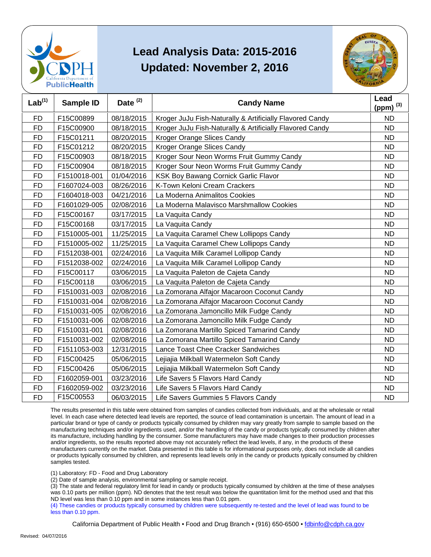



| Lab <sup>(1)</sup> | Sample ID    | Date <sup>(2)</sup> | <b>Candy Name</b>                                        | Lead<br>(ppm) $^{(3)}$ |
|--------------------|--------------|---------------------|----------------------------------------------------------|------------------------|
| <b>FD</b>          | F15C00899    | 08/18/2015          | Kroger JuJu Fish-Naturally & Artificially Flavored Candy | <b>ND</b>              |
| <b>FD</b>          | F15C00900    | 08/18/2015          | Kroger JuJu Fish-Naturally & Artificially Flavored Candy | <b>ND</b>              |
| <b>FD</b>          | F15C01211    | 08/20/2015          | Kroger Orange Slices Candy                               | <b>ND</b>              |
| <b>FD</b>          | F15C01212    | 08/20/2015          | Kroger Orange Slices Candy                               | <b>ND</b>              |
| <b>FD</b>          | F15C00903    | 08/18/2015          | Kroger Sour Neon Worms Fruit Gummy Candy                 | <b>ND</b>              |
| <b>FD</b>          | F15C00904    | 08/18/2015          | Kroger Sour Neon Worms Fruit Gummy Candy                 | <b>ND</b>              |
| <b>FD</b>          | F1510018-001 | 01/04/2016          | KSK Boy Bawang Cornick Garlic Flavor                     | <b>ND</b>              |
| <b>FD</b>          | F1607024-003 | 08/26/2016          | K-Town Keloni Cream Crackers                             | <b>ND</b>              |
| <b>FD</b>          | F1604018-003 | 04/21/2016          | La Moderna Animalitos Cookies                            | <b>ND</b>              |
| <b>FD</b>          | F1601029-005 | 02/08/2016          | La Moderna Malavisco Marshmallow Cookies                 | <b>ND</b>              |
| <b>FD</b>          | F15C00167    | 03/17/2015          | La Vaquita Candy                                         | <b>ND</b>              |
| <b>FD</b>          | F15C00168    | 03/17/2015          | La Vaquita Candy                                         | <b>ND</b>              |
| <b>FD</b>          | F1510005-001 | 11/25/2015          | La Vaquita Caramel Chew Lollipops Candy                  | <b>ND</b>              |
| <b>FD</b>          | F1510005-002 | 11/25/2015          | La Vaquita Caramel Chew Lollipops Candy                  | <b>ND</b>              |
| <b>FD</b>          | F1512038-001 | 02/24/2016          | La Vaquita Milk Caramel Lollipop Candy                   | <b>ND</b>              |
| <b>FD</b>          | F1512038-002 | 02/24/2016          | La Vaquita Milk Caramel Lollipop Candy                   | <b>ND</b>              |
| <b>FD</b>          | F15C00117    | 03/06/2015          | La Vaquita Paleton de Cajeta Candy                       | <b>ND</b>              |
| <b>FD</b>          | F15C00118    | 03/06/2015          | La Vaquita Paleton de Cajeta Candy                       | <b>ND</b>              |
| <b>FD</b>          | F1510031-003 | 02/08/2016          | La Zomorana Alfajor Macaroon Coconut Candy               | <b>ND</b>              |
| <b>FD</b>          | F1510031-004 | 02/08/2016          | La Zomorana Alfajor Macaroon Coconut Candy               | <b>ND</b>              |
| <b>FD</b>          | F1510031-005 | 02/08/2016          | La Zomorana Jamoncillo Milk Fudge Candy                  | <b>ND</b>              |
| <b>FD</b>          | F1510031-006 | 02/08/2016          | La Zomorana Jamoncillo Milk Fudge Candy                  | <b>ND</b>              |
| <b>FD</b>          | F1510031-001 | 02/08/2016          | La Zomorana Martillo Spiced Tamarind Candy               | <b>ND</b>              |
| <b>FD</b>          | F1510031-002 | 02/08/2016          | La Zomorana Martillo Spiced Tamarind Candy               | <b>ND</b>              |
| <b>FD</b>          | F1511053-003 | 12/31/2015          | Lance Toast Chee Cracker Sandwiches                      | <b>ND</b>              |
| <b>FD</b>          | F15C00425    | 05/06/2015          | Lejiajia Milkball Watermelon Soft Candy                  | <b>ND</b>              |
| <b>FD</b>          | F15C00426    | 05/06/2015          | Lejiajia Milkball Watermelon Soft Candy                  | <b>ND</b>              |
| <b>FD</b>          | F1602059-001 | 03/23/2016          | Life Savers 5 Flavors Hard Candy                         | <b>ND</b>              |
| FD                 | F1602059-002 | 03/23/2016          | Life Savers 5 Flavors Hard Candy                         | ND                     |
| <b>FD</b>          | F15C00553    | 06/03/2015          | Life Savers Gummies 5 Flavors Candy                      | <b>ND</b>              |

 The results presented in this table were obtained from samples of candies collected from individuals, and at the wholesale or retail level. In each case where detected lead levels are reported, the source of lead contamination is uncertain. The amount of lead in a particular brand or type of candy or products typically consumed by children may vary greatly from sample to sample based on the manufacturing techniques and/or ingredients used, and/or the handling of the candy or products typically consumed by children after and/or ingredients, so the results reported above may not accurately reflect the lead levels, if any, in the products of these or products typically consumed by children, and represents lead levels only in the candy or products typically consumed by children its manufacture, including handling by the consumer. Some manufacturers may have made changes to their production processes manufacturers currently on the market. Data presented in this table is for informational purposes only, does not include all candies samples tested.

(1) Laboratory: FD - Food and Drug Laboratory

(2) Date of sample analysis, environmental sampling or sample receipt.

 (3) The state and federal regulatory limit for lead in candy or products typically consumed by children at the time of these analyses ND level was less than 0.10 ppm and in some instances less than 0.01 ppm. was 0.10 parts per million (ppm). ND denotes that the test result was below the quantitation limit for the method used and that this

 (4) These candies or products typically consumed by children were subsequently re-tested and the level of lead was found to be less than 0.10 ppm.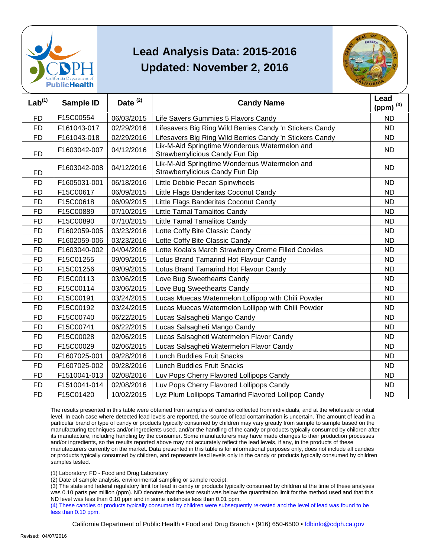



| Lab <sup>(1)</sup> | Sample ID    | Date <sup>(2)</sup> | <b>Candy Name</b>                                                                | Lead<br>(ppm) $^{(3)}$ |
|--------------------|--------------|---------------------|----------------------------------------------------------------------------------|------------------------|
| <b>FD</b>          | F15C00554    | 06/03/2015          | Life Savers Gummies 5 Flavors Candy                                              | <b>ND</b>              |
| <b>FD</b>          | F161043-017  | 02/29/2016          | Lifesavers Big Ring Wild Berries Candy 'n Stickers Candy                         | <b>ND</b>              |
| FD                 | F161043-018  | 02/29/2016          | Lifesavers Big Ring Wild Berries Candy 'n Stickers Candy                         | <b>ND</b>              |
| <b>FD</b>          | F1603042-007 | 04/12/2016          | Lik-M-Aid Springtime Wonderous Watermelon and<br>Strawberrylicious Candy Fun Dip | <b>ND</b>              |
| <b>FD</b>          | F1603042-008 | 04/12/2016          | Lik-M-Aid Springtime Wonderous Watermelon and<br>Strawberrylicious Candy Fun Dip | <b>ND</b>              |
| <b>FD</b>          | F1605031-001 | 06/18/2016          | Little Debbie Pecan Spinwheels                                                   | <b>ND</b>              |
| <b>FD</b>          | F15C00617    | 06/09/2015          | Little Flags Banderitas Coconut Candy                                            | <b>ND</b>              |
| <b>FD</b>          | F15C00618    | 06/09/2015          | Little Flags Banderitas Coconut Candy                                            | <b>ND</b>              |
| <b>FD</b>          | F15C00889    | 07/10/2015          | Little Tamal Tamalitos Candy                                                     | <b>ND</b>              |
| <b>FD</b>          | F15C00890    | 07/10/2015          | Little Tamal Tamalitos Candy                                                     | <b>ND</b>              |
| <b>FD</b>          | F1602059-005 | 03/23/2016          | Lotte Coffy Bite Classic Candy                                                   | <b>ND</b>              |
| <b>FD</b>          | F1602059-006 | 03/23/2016          | Lotte Coffy Bite Classic Candy                                                   | <b>ND</b>              |
| <b>FD</b>          | F1603040-002 | 04/04/2016          | Lotte Koala's March Strawberry Creme Filled Cookies                              | <b>ND</b>              |
| <b>FD</b>          | F15C01255    | 09/09/2015          | Lotus Brand Tamarind Hot Flavour Candy                                           | <b>ND</b>              |
| <b>FD</b>          | F15C01256    | 09/09/2015          | Lotus Brand Tamarind Hot Flavour Candy                                           | <b>ND</b>              |
| <b>FD</b>          | F15C00113    | 03/06/2015          | Love Bug Sweethearts Candy                                                       | <b>ND</b>              |
| <b>FD</b>          | F15C00114    | 03/06/2015          | Love Bug Sweethearts Candy                                                       | <b>ND</b>              |
| <b>FD</b>          | F15C00191    | 03/24/2015          | Lucas Muecas Watermelon Lollipop with Chili Powder                               | <b>ND</b>              |
| <b>FD</b>          | F15C00192    | 03/24/2015          | Lucas Muecas Watermelon Lollipop with Chili Powder                               | <b>ND</b>              |
| <b>FD</b>          | F15C00740    | 06/22/2015          | Lucas Salsagheti Mango Candy                                                     | <b>ND</b>              |
| <b>FD</b>          | F15C00741    | 06/22/2015          | Lucas Salsagheti Mango Candy                                                     | <b>ND</b>              |
| <b>FD</b>          | F15C00028    | 02/06/2015          | Lucas Salsagheti Watermelon Flavor Candy                                         | <b>ND</b>              |
| FD                 | F15C00029    | 02/06/2015          | Lucas Salsagheti Watermelon Flavor Candy                                         | <b>ND</b>              |
| <b>FD</b>          | F1607025-001 | 09/28/2016          | <b>Lunch Buddies Fruit Snacks</b>                                                | <b>ND</b>              |
| <b>FD</b>          | F1607025-002 | 09/28/2016          | <b>Lunch Buddies Fruit Snacks</b>                                                | <b>ND</b>              |
| <b>FD</b>          | F1510041-013 | 02/08/2016          | Luv Pops Cherry Flavored Lollipops Candy                                         | <b>ND</b>              |
| FD                 | F1510041-014 | 02/08/2016          | Luv Pops Cherry Flavored Lollipops Candy                                         | <b>ND</b>              |
| <b>FD</b>          | F15C01420    | 10/02/2015          | Lyz Plum Lollipops Tamarind Flavored Lollipop Candy                              | <b>ND</b>              |

 The results presented in this table were obtained from samples of candies collected from individuals, and at the wholesale or retail level. In each case where detected lead levels are reported, the source of lead contamination is uncertain. The amount of lead in a particular brand or type of candy or products typically consumed by children may vary greatly from sample to sample based on the manufacturing techniques and/or ingredients used, and/or the handling of the candy or products typically consumed by children after and/or ingredients, so the results reported above may not accurately reflect the lead levels, if any, in the products of these or products typically consumed by children, and represents lead levels only in the candy or products typically consumed by children its manufacture, including handling by the consumer. Some manufacturers may have made changes to their production processes manufacturers currently on the market. Data presented in this table is for informational purposes only, does not include all candies samples tested.

(1) Laboratory: FD - Food and Drug Laboratory

(2) Date of sample analysis, environmental sampling or sample receipt.

 (3) The state and federal regulatory limit for lead in candy or products typically consumed by children at the time of these analyses ND level was less than 0.10 ppm and in some instances less than 0.01 ppm. was 0.10 parts per million (ppm). ND denotes that the test result was below the quantitation limit for the method used and that this

 (4) These candies or products typically consumed by children were subsequently re-tested and the level of lead was found to be less than 0.10 ppm.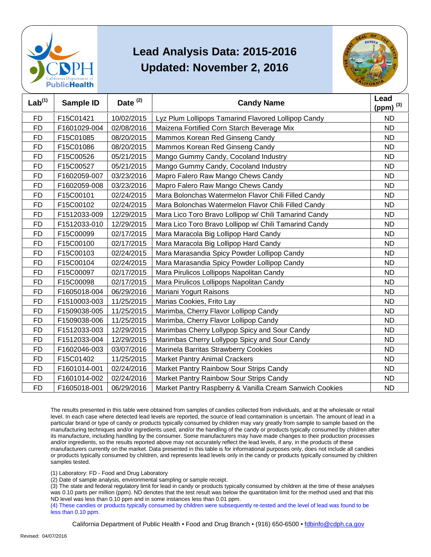



| Lab <sup>(1)</sup> | Sample ID    | Date <sup>(2)</sup> | <b>Candy Name</b>                                       | Lead<br>(ppm) $^{(3)}$ |
|--------------------|--------------|---------------------|---------------------------------------------------------|------------------------|
| <b>FD</b>          | F15C01421    | 10/02/2015          | Lyz Plum Lollipops Tamarind Flavored Lollipop Candy     | <b>ND</b>              |
| <b>FD</b>          | F1601029-004 | 02/08/2016          | Maizena Fortified Corn Starch Beverage Mix              | <b>ND</b>              |
| <b>FD</b>          | F15C01085    | 08/20/2015          | Mammos Korean Red Ginseng Candy                         | <b>ND</b>              |
| <b>FD</b>          | F15C01086    | 08/20/2015          | Mammos Korean Red Ginseng Candy                         | <b>ND</b>              |
| <b>FD</b>          | F15C00526    | 05/21/2015          | Mango Gummy Candy, Cocoland Industry                    | <b>ND</b>              |
| <b>FD</b>          | F15C00527    | 05/21/2015          | Mango Gummy Candy, Cocoland Industry                    | <b>ND</b>              |
| <b>FD</b>          | F1602059-007 | 03/23/2016          | Mapro Falero Raw Mango Chews Candy                      | <b>ND</b>              |
| <b>FD</b>          | F1602059-008 | 03/23/2016          | Mapro Falero Raw Mango Chews Candy                      | <b>ND</b>              |
| <b>FD</b>          | F15C00101    | 02/24/2015          | Mara Bolonchas Watermelon Flavor Chili Filled Candy     | <b>ND</b>              |
| <b>FD</b>          | F15C00102    | 02/24/2015          | Mara Bolonchas Watermelon Flavor Chili Filled Candy     | <b>ND</b>              |
| <b>FD</b>          | F1512033-009 | 12/29/2015          | Mara Lico Toro Bravo Lollipop w/ Chili Tamarind Candy   | <b>ND</b>              |
| <b>FD</b>          | F1512033-010 | 12/29/2015          | Mara Lico Toro Bravo Lollipop w/ Chili Tamarind Candy   | <b>ND</b>              |
| <b>FD</b>          | F15C00099    | 02/17/2015          | Mara Maracola Big Lollipop Hard Candy                   | <b>ND</b>              |
| <b>FD</b>          | F15C00100    | 02/17/2015          | Mara Maracola Big Lollipop Hard Candy                   | <b>ND</b>              |
| FD.                | F15C00103    | 02/24/2015          | Mara Marasandia Spicy Powder Lollipop Candy             | <b>ND</b>              |
| <b>FD</b>          | F15C00104    | 02/24/2015          | Mara Marasandia Spicy Powder Lollipop Candy             | <b>ND</b>              |
| <b>FD</b>          | F15C00097    | 02/17/2015          | Mara Pirulicos Lollipops Napolitan Candy                | <b>ND</b>              |
| <b>FD</b>          | F15C00098    | 02/17/2015          | Mara Pirulicos Lollipops Napolitan Candy                | <b>ND</b>              |
| <b>FD</b>          | F1605018-004 | 06/29/2016          | Mariani Yogurt Raisons                                  | <b>ND</b>              |
| <b>FD</b>          | F1510003-003 | 11/25/2015          | Marias Cookies, Frito Lay                               | <b>ND</b>              |
| <b>FD</b>          | F1509038-005 | 11/25/2015          | Marimba, Cherry Flavor Lollipop Candy                   | <b>ND</b>              |
| <b>FD</b>          | F1509038-006 | 11/25/2015          | Marimba, Cherry Flavor Lollipop Candy                   | <b>ND</b>              |
| <b>FD</b>          | F1512033-003 | 12/29/2015          | Marimbas Cherry Lollypop Spicy and Sour Candy           | <b>ND</b>              |
| <b>FD</b>          | F1512033-004 | 12/29/2015          | Marimbas Cherry Lollypop Spicy and Sour Candy           | <b>ND</b>              |
| <b>FD</b>          | F1602046-003 | 03/07/2016          | Marinela Barritas Strawberry Cookies                    | <b>ND</b>              |
| <b>FD</b>          | F15C01402    | 11/25/2015          | <b>Market Pantry Animal Crackers</b>                    | <b>ND</b>              |
| <b>FD</b>          | F1601014-001 | 02/24/2016          | Market Pantry Rainbow Sour Strips Candy                 | <b>ND</b>              |
| <b>FD</b>          | F1601014-002 | 02/24/2016          | Market Pantry Rainbow Sour Strips Candy                 | <b>ND</b>              |
| <b>FD</b>          | F1605018-001 | 06/29/2016          | Market Pantry Raspberry & Vanilla Cream Sanwich Cookies | <b>ND</b>              |

 The results presented in this table were obtained from samples of candies collected from individuals, and at the wholesale or retail level. In each case where detected lead levels are reported, the source of lead contamination is uncertain. The amount of lead in a particular brand or type of candy or products typically consumed by children may vary greatly from sample to sample based on the manufacturing techniques and/or ingredients used, and/or the handling of the candy or products typically consumed by children after and/or ingredients, so the results reported above may not accurately reflect the lead levels, if any, in the products of these or products typically consumed by children, and represents lead levels only in the candy or products typically consumed by children its manufacture, including handling by the consumer. Some manufacturers may have made changes to their production processes manufacturers currently on the market. Data presented in this table is for informational purposes only, does not include all candies samples tested.

(1) Laboratory: FD - Food and Drug Laboratory

(2) Date of sample analysis, environmental sampling or sample receipt.

 (3) The state and federal regulatory limit for lead in candy or products typically consumed by children at the time of these analyses ND level was less than 0.10 ppm and in some instances less than 0.01 ppm. was 0.10 parts per million (ppm). ND denotes that the test result was below the quantitation limit for the method used and that this

 (4) These candies or products typically consumed by children were subsequently re-tested and the level of lead was found to be less than 0.10 ppm.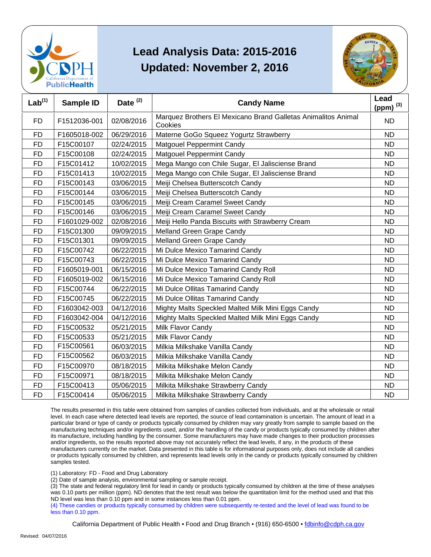



| Lab <sup>(1)</sup> | <b>Sample ID</b> | Date $(2)$ | <b>Candy Name</b>                                                        | Lead<br>(ppm) $^{(3)}$ |
|--------------------|------------------|------------|--------------------------------------------------------------------------|------------------------|
| <b>FD</b>          | F1512036-001     | 02/08/2016 | Marquez Brothers El Mexicano Brand Galletas Animalitos Animal<br>Cookies | <b>ND</b>              |
| <b>FD</b>          | F1605018-002     | 06/29/2016 | Materne GoGo Squeez Yogurtz Strawberry                                   | <b>ND</b>              |
| <b>FD</b>          | F15C00107        | 02/24/2015 | <b>Matgouel Peppermint Candy</b>                                         | <b>ND</b>              |
| <b>FD</b>          | F15C00108        | 02/24/2015 | <b>Matgouel Peppermint Candy</b>                                         | <b>ND</b>              |
| <b>FD</b>          | F15C01412        | 10/02/2015 | Mega Mango con Chile Sugar, El Jalisciense Brand                         | <b>ND</b>              |
| <b>FD</b>          | F15C01413        | 10/02/2015 | Mega Mango con Chile Sugar, El Jalisciense Brand                         | <b>ND</b>              |
| <b>FD</b>          | F15C00143        | 03/06/2015 | Meiji Chelsea Butterscotch Candy                                         | <b>ND</b>              |
| <b>FD</b>          | F15C00144        | 03/06/2015 | Meiji Chelsea Butterscotch Candy                                         | <b>ND</b>              |
| <b>FD</b>          | F15C00145        | 03/06/2015 | Meiji Cream Caramel Sweet Candy                                          | <b>ND</b>              |
| <b>FD</b>          | F15C00146        | 03/06/2015 | Meiji Cream Caramel Sweet Candy                                          | <b>ND</b>              |
| <b>FD</b>          | F1601029-002     | 02/08/2016 | Meiji Hello Panda Biscuits with Strawberry Cream                         | <b>ND</b>              |
| <b>FD</b>          | F15C01300        | 09/09/2015 | Melland Green Grape Candy                                                | <b>ND</b>              |
| <b>FD</b>          | F15C01301        | 09/09/2015 | Melland Green Grape Candy                                                | <b>ND</b>              |
| <b>FD</b>          | F15C00742        | 06/22/2015 | Mi Dulce Mexico Tamarind Candy                                           | <b>ND</b>              |
| <b>FD</b>          | F15C00743        | 06/22/2015 | Mi Dulce Mexico Tamarind Candy                                           | <b>ND</b>              |
| <b>FD</b>          | F1605019-001     | 06/15/2016 | Mi Dulce Mexico Tamarind Candy Roll                                      | <b>ND</b>              |
| <b>FD</b>          | F1605019-002     | 06/15/2016 | Mi Dulce Mexico Tamarind Candy Roll                                      | <b>ND</b>              |
| <b>FD</b>          | F15C00744        | 06/22/2015 | Mi Dulce Ollitas Tamarind Candy                                          | <b>ND</b>              |
| <b>FD</b>          | F15C00745        | 06/22/2015 | Mi Dulce Ollitas Tamarind Candy                                          | <b>ND</b>              |
| FD                 | F1603042-003     | 04/12/2016 | Mighty Malts Speckled Malted Milk Mini Eggs Candy                        | ND                     |
| <b>FD</b>          | F1603042-004     | 04/12/2016 | Mighty Malts Speckled Malted Milk Mini Eggs Candy                        | <b>ND</b>              |
| <b>FD</b>          | F15C00532        | 05/21/2015 | Milk Flavor Candy                                                        | <b>ND</b>              |
| <b>FD</b>          | F15C00533        | 05/21/2015 | Milk Flavor Candy                                                        | <b>ND</b>              |
| <b>FD</b>          | F15C00561        | 06/03/2015 | Milkia Milkshake Vanilla Candy                                           | <b>ND</b>              |
| <b>FD</b>          | F15C00562        | 06/03/2015 | Milkia Milkshake Vanilla Candy                                           | <b>ND</b>              |
| <b>FD</b>          | F15C00970        | 08/18/2015 | Milkita Milkshake Melon Candy                                            | <b>ND</b>              |
| <b>FD</b>          | F15C00971        | 08/18/2015 | Milkita Milkshake Melon Candy                                            | <b>ND</b>              |
| FD                 | F15C00413        | 05/06/2015 | Milkita Milkshake Strawberry Candy                                       | ND                     |
| <b>FD</b>          | F15C00414        | 05/06/2015 | Milkita Milkshake Strawberry Candy                                       | <b>ND</b>              |

 The results presented in this table were obtained from samples of candies collected from individuals, and at the wholesale or retail level. In each case where detected lead levels are reported, the source of lead contamination is uncertain. The amount of lead in a particular brand or type of candy or products typically consumed by children may vary greatly from sample to sample based on the manufacturing techniques and/or ingredients used, and/or the handling of the candy or products typically consumed by children after and/or ingredients, so the results reported above may not accurately reflect the lead levels, if any, in the products of these or products typically consumed by children, and represents lead levels only in the candy or products typically consumed by children its manufacture, including handling by the consumer. Some manufacturers may have made changes to their production processes manufacturers currently on the market. Data presented in this table is for informational purposes only, does not include all candies samples tested.

(1) Laboratory: FD - Food and Drug Laboratory

(2) Date of sample analysis, environmental sampling or sample receipt.

 (3) The state and federal regulatory limit for lead in candy or products typically consumed by children at the time of these analyses ND level was less than 0.10 ppm and in some instances less than 0.01 ppm. was 0.10 parts per million (ppm). ND denotes that the test result was below the quantitation limit for the method used and that this

 (4) These candies or products typically consumed by children were subsequently re-tested and the level of lead was found to be less than 0.10 ppm.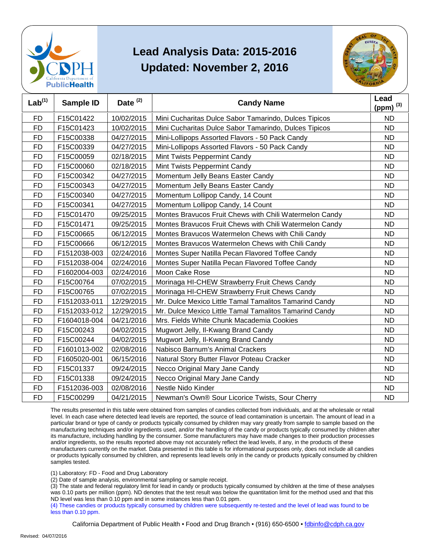



| Lab <sup>(1)</sup> | Sample ID    | Date <sup>(2)</sup> | <b>Candy Name</b>                                       | Lead<br>(ppm) $(3)$ |
|--------------------|--------------|---------------------|---------------------------------------------------------|---------------------|
| <b>FD</b>          | F15C01422    | 10/02/2015          | Mini Cucharitas Dulce Sabor Tamarindo, Dulces Tipicos   | <b>ND</b>           |
| <b>FD</b>          | F15C01423    | 10/02/2015          | Mini Cucharitas Dulce Sabor Tamarindo, Dulces Tipicos   | <b>ND</b>           |
| <b>FD</b>          | F15C00338    | 04/27/2015          | Mini-Lollipops Assorted Flavors - 50 Pack Candy         | <b>ND</b>           |
| <b>FD</b>          | F15C00339    | 04/27/2015          | Mini-Lollipops Assorted Flavors - 50 Pack Candy         | <b>ND</b>           |
| <b>FD</b>          | F15C00059    | 02/18/2015          | Mint Twists Peppermint Candy                            | <b>ND</b>           |
| <b>FD</b>          | F15C00060    | 02/18/2015          | Mint Twists Peppermint Candy                            | <b>ND</b>           |
| <b>FD</b>          | F15C00342    | 04/27/2015          | Momentum Jelly Beans Easter Candy                       | <b>ND</b>           |
| <b>FD</b>          | F15C00343    | 04/27/2015          | Momentum Jelly Beans Easter Candy                       | <b>ND</b>           |
| <b>FD</b>          | F15C00340    | 04/27/2015          | Momentum Lollipop Candy, 14 Count                       | <b>ND</b>           |
| <b>FD</b>          | F15C00341    | 04/27/2015          | Momentum Lollipop Candy, 14 Count                       | <b>ND</b>           |
| FD                 | F15C01470    | 09/25/2015          | Montes Bravucos Fruit Chews with Chili Watermelon Candy | ND                  |
| <b>FD</b>          | F15C01471    | 09/25/2015          | Montes Bravucos Fruit Chews with Chili Watermelon Candy | <b>ND</b>           |
| <b>FD</b>          | F15C00665    | 06/12/2015          | Montes Bravucos Watermelon Chews with Chili Candy       | <b>ND</b>           |
| <b>FD</b>          | F15C00666    | 06/12/2015          | Montes Bravucos Watermelon Chews with Chili Candy       | <b>ND</b>           |
| <b>FD</b>          | F1512038-003 | 02/24/2016          | Montes Super Natilla Pecan Flavored Toffee Candy        | <b>ND</b>           |
| <b>FD</b>          | F1512038-004 | 02/24/2016          | Montes Super Natilla Pecan Flavored Toffee Candy        | <b>ND</b>           |
| FD                 | F1602004-003 | 02/24/2016          | Moon Cake Rose                                          | ND                  |
| <b>FD</b>          | F15C00764    | 07/02/2015          | Morinaga HI-CHEW Strawberry Fruit Chews Candy           | <b>ND</b>           |
| <b>FD</b>          | F15C00765    | 07/02/2015          | Morinaga HI-CHEW Strawberry Fruit Chews Candy           | <b>ND</b>           |
| <b>FD</b>          | F1512033-011 | 12/29/2015          | Mr. Dulce Mexico Little Tamal Tamalitos Tamarind Candy  | <b>ND</b>           |
| <b>FD</b>          | F1512033-012 | 12/29/2015          | Mr. Dulce Mexico Little Tamal Tamalitos Tamarind Candy  | <b>ND</b>           |
| <b>FD</b>          | F1604018-004 | 04/21/2016          | Mrs. Fields White Chunk Macademia Cookies               | <b>ND</b>           |
| <b>FD</b>          | F15C00243    | 04/02/2015          | Mugwort Jelly, Il-Kwang Brand Candy                     | <b>ND</b>           |
| <b>FD</b>          | F15C00244    | 04/02/2015          | Mugwort Jelly, Il-Kwang Brand Candy                     | <b>ND</b>           |
| <b>FD</b>          | F1601013-002 | 02/08/2016          | Nabisco Barnum's Animal Crackers                        | <b>ND</b>           |
| <b>FD</b>          | F1605020-001 | 06/15/2016          | Natural Story Butter Flavor Poteau Cracker              | <b>ND</b>           |
| <b>FD</b>          | F15C01337    | 09/24/2015          | Necco Original Mary Jane Candy                          | <b>ND</b>           |
| <b>FD</b>          | F15C01338    | 09/24/2015          | Necco Original Mary Jane Candy                          | <b>ND</b>           |
| <b>FD</b>          | F1512036-003 | 02/08/2016          | Nestle Nido Kinder                                      | <b>ND</b>           |
| <b>FD</b>          | F15C00299    | 04/21/2015          | Newman's Own® Sour Licorice Twists, Sour Cherry         | <b>ND</b>           |

 The results presented in this table were obtained from samples of candies collected from individuals, and at the wholesale or retail level. In each case where detected lead levels are reported, the source of lead contamination is uncertain. The amount of lead in a particular brand or type of candy or products typically consumed by children may vary greatly from sample to sample based on the manufacturing techniques and/or ingredients used, and/or the handling of the candy or products typically consumed by children after and/or ingredients, so the results reported above may not accurately reflect the lead levels, if any, in the products of these or products typically consumed by children, and represents lead levels only in the candy or products typically consumed by children its manufacture, including handling by the consumer. Some manufacturers may have made changes to their production processes manufacturers currently on the market. Data presented in this table is for informational purposes only, does not include all candies samples tested.

(1) Laboratory: FD - Food and Drug Laboratory

(2) Date of sample analysis, environmental sampling or sample receipt.

 (3) The state and federal regulatory limit for lead in candy or products typically consumed by children at the time of these analyses ND level was less than 0.10 ppm and in some instances less than 0.01 ppm. was 0.10 parts per million (ppm). ND denotes that the test result was below the quantitation limit for the method used and that this

 (4) These candies or products typically consumed by children were subsequently re-tested and the level of lead was found to be less than 0.10 ppm.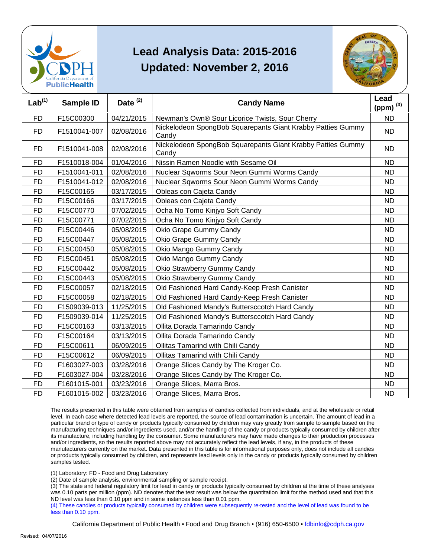



| Lab <sup>(1)</sup> | Sample ID    | Date $(2)$ | <b>Candy Name</b>                                                    | Lead<br>(ppm) $(3)$ |
|--------------------|--------------|------------|----------------------------------------------------------------------|---------------------|
| <b>FD</b>          | F15C00300    | 04/21/2015 | Newman's Own® Sour Licorice Twists, Sour Cherry                      | <b>ND</b>           |
| <b>FD</b>          | F1510041-007 | 02/08/2016 | Nickelodeon SpongBob Squarepants Giant Krabby Patties Gummy<br>Candy | <b>ND</b>           |
| FD.                | F1510041-008 | 02/08/2016 | Nickelodeon SpongBob Squarepants Giant Krabby Patties Gummy<br>Candy | <b>ND</b>           |
| <b>FD</b>          | F1510018-004 | 01/04/2016 | Nissin Ramen Noodle with Sesame Oil                                  | <b>ND</b>           |
| <b>FD</b>          | F1510041-011 | 02/08/2016 | Nuclear Sqworms Sour Neon Gummi Worms Candy                          | <b>ND</b>           |
| <b>FD</b>          | F1510041-012 | 02/08/2016 | Nuclear Sqworms Sour Neon Gummi Worms Candy                          | <b>ND</b>           |
| <b>FD</b>          | F15C00165    | 03/17/2015 | Obleas con Cajeta Candy                                              | <b>ND</b>           |
| <b>FD</b>          | F15C00166    | 03/17/2015 | Obleas con Cajeta Candy                                              | <b>ND</b>           |
| <b>FD</b>          | F15C00770    | 07/02/2015 | Ocha No Tomo Kinjyo Soft Candy                                       | <b>ND</b>           |
| <b>FD</b>          | F15C00771    | 07/02/2015 | Ocha No Tomo Kinjyo Soft Candy                                       | <b>ND</b>           |
| <b>FD</b>          | F15C00446    | 05/08/2015 | Okio Grape Gummy Candy                                               | <b>ND</b>           |
| <b>FD</b>          | F15C00447    | 05/08/2015 | Okio Grape Gummy Candy                                               | <b>ND</b>           |
| <b>FD</b>          | F15C00450    | 05/08/2015 | Okio Mango Gummy Candy                                               | <b>ND</b>           |
| <b>FD</b>          | F15C00451    | 05/08/2015 | Okio Mango Gummy Candy                                               | <b>ND</b>           |
| <b>FD</b>          | F15C00442    | 05/08/2015 | Okio Strawberry Gummy Candy                                          | <b>ND</b>           |
| <b>FD</b>          | F15C00443    | 05/08/2015 | Okio Strawberry Gummy Candy                                          | <b>ND</b>           |
| <b>FD</b>          | F15C00057    | 02/18/2015 | Old Fashioned Hard Candy-Keep Fresh Canister                         | <b>ND</b>           |
| <b>FD</b>          | F15C00058    | 02/18/2015 | Old Fashioned Hard Candy-Keep Fresh Canister                         | <b>ND</b>           |
| <b>FD</b>          | F1509039-013 | 11/25/2015 | Old Fashioned Mandy's Buttersccotch Hard Candy                       | <b>ND</b>           |
| <b>FD</b>          | F1509039-014 | 11/25/2015 | Old Fashioned Mandy's Buttersccotch Hard Candy                       | <b>ND</b>           |
| <b>FD</b>          | F15C00163    | 03/13/2015 | Ollita Dorada Tamarindo Candy                                        | <b>ND</b>           |
| <b>FD</b>          | F15C00164    | 03/13/2015 | Ollita Dorada Tamarindo Candy                                        | <b>ND</b>           |
| <b>FD</b>          | F15C00611    | 06/09/2015 | Ollitas Tamarind with Chili Candy                                    | <b>ND</b>           |
| <b>FD</b>          | F15C00612    | 06/09/2015 | Ollitas Tamarind with Chili Candy                                    | <b>ND</b>           |
| <b>FD</b>          | F1603027-003 | 03/28/2016 | Orange Slices Candy by The Kroger Co.                                | <b>ND</b>           |
| <b>FD</b>          | F1603027-004 | 03/28/2016 | Orange Slices Candy by The Kroger Co.                                | <b>ND</b>           |
| <b>FD</b>          | F1601015-001 | 03/23/2016 | Orange Slices, Marra Bros.                                           | <b>ND</b>           |
| FD                 | F1601015-002 | 03/23/2016 | Orange Slices, Marra Bros.                                           | <b>ND</b>           |

 The results presented in this table were obtained from samples of candies collected from individuals, and at the wholesale or retail level. In each case where detected lead levels are reported, the source of lead contamination is uncertain. The amount of lead in a particular brand or type of candy or products typically consumed by children may vary greatly from sample to sample based on the manufacturing techniques and/or ingredients used, and/or the handling of the candy or products typically consumed by children after and/or ingredients, so the results reported above may not accurately reflect the lead levels, if any, in the products of these or products typically consumed by children, and represents lead levels only in the candy or products typically consumed by children its manufacture, including handling by the consumer. Some manufacturers may have made changes to their production processes manufacturers currently on the market. Data presented in this table is for informational purposes only, does not include all candies samples tested.

(1) Laboratory: FD - Food and Drug Laboratory

(2) Date of sample analysis, environmental sampling or sample receipt.

 (3) The state and federal regulatory limit for lead in candy or products typically consumed by children at the time of these analyses ND level was less than 0.10 ppm and in some instances less than 0.01 ppm. was 0.10 parts per million (ppm). ND denotes that the test result was below the quantitation limit for the method used and that this

 (4) These candies or products typically consumed by children were subsequently re-tested and the level of lead was found to be less than 0.10 ppm.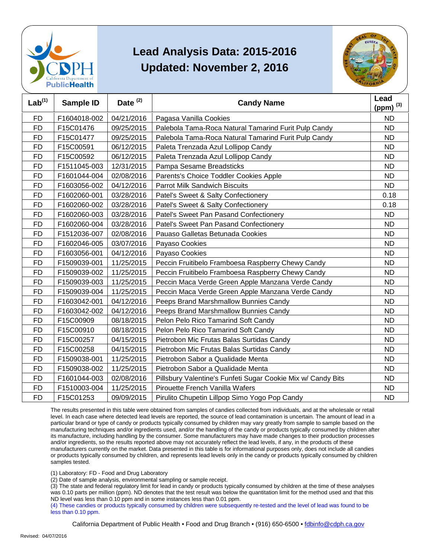



| Lab <sup>(1)</sup> | Sample ID    | Date <sup>(2)</sup> | <b>Candy Name</b>                                            | Lead<br>(ppm) $^{(3)}$ |
|--------------------|--------------|---------------------|--------------------------------------------------------------|------------------------|
| FD                 | F1604018-002 | 04/21/2016          | Pagasa Vanilla Cookies                                       | <b>ND</b>              |
| <b>FD</b>          | F15C01476    | 09/25/2015          | Palebola Tama-Roca Natural Tamarind Furit Pulp Candy         | <b>ND</b>              |
| <b>FD</b>          | F15C01477    | 09/25/2015          | Palebola Tama-Roca Natural Tamarind Furit Pulp Candy         | <b>ND</b>              |
| <b>FD</b>          | F15C00591    | 06/12/2015          | Paleta Trenzada Azul Lollipop Candy                          | <b>ND</b>              |
| <b>FD</b>          | F15C00592    | 06/12/2015          | Paleta Trenzada Azul Lollipop Candy                          | <b>ND</b>              |
| FD                 | F1511045-003 | 12/31/2015          | Pampa Sesame Breadsticks                                     | <b>ND</b>              |
| <b>FD</b>          | F1601044-004 | 02/08/2016          | Parents's Choice Toddler Cookies Apple                       | <b>ND</b>              |
| <b>FD</b>          | F1603056-002 | 04/12/2016          | <b>Parrot Milk Sandwich Biscuits</b>                         | <b>ND</b>              |
| <b>FD</b>          | F1602060-001 | 03/28/2016          | Patel's Sweet & Salty Confectionery                          | 0.18                   |
| <b>FD</b>          | F1602060-002 | 03/28/2016          | Patel's Sweet & Salty Confectionery                          | 0.18                   |
| <b>FD</b>          | F1602060-003 | 03/28/2016          | Patel's Sweet Pan Pasand Confectionery                       | <b>ND</b>              |
| FD                 | F1602060-004 | 03/28/2016          | Patel's Sweet Pan Pasand Confectionery                       | <b>ND</b>              |
| <b>FD</b>          | F1512036-007 | 02/08/2016          | Pauaso Galletas Betunada Cookies                             | <b>ND</b>              |
| <b>FD</b>          | F1602046-005 | 03/07/2016          | Payaso Cookies                                               | <b>ND</b>              |
| <b>FD</b>          | F1603056-001 | 04/12/2016          | Payaso Cookies                                               | <b>ND</b>              |
| <b>FD</b>          | F1509039-001 | 11/25/2015          | Peccin Fruitibelo Framboesa Raspberry Chewy Candy            | <b>ND</b>              |
| FD                 | F1509039-002 | 11/25/2015          | Peccin Fruitibelo Framboesa Raspberry Chewy Candy            | <b>ND</b>              |
| <b>FD</b>          | F1509039-003 | 11/25/2015          | Peccin Maca Verde Green Apple Manzana Verde Candy            | <b>ND</b>              |
| <b>FD</b>          | F1509039-004 | 11/25/2015          | Peccin Maca Verde Green Apple Manzana Verde Candy            | <b>ND</b>              |
| <b>FD</b>          | F1603042-001 | 04/12/2016          | Peeps Brand Marshmallow Bunnies Candy                        | <b>ND</b>              |
| <b>FD</b>          | F1603042-002 | 04/12/2016          | Peeps Brand Marshmallow Bunnies Candy                        | <b>ND</b>              |
| <b>FD</b>          | F15C00909    | 08/18/2015          | Pelon Pelo Rico Tamarind Soft Candy                          | <b>ND</b>              |
| FD                 | F15C00910    | 08/18/2015          | Pelon Pelo Rico Tamarind Soft Candy                          | <b>ND</b>              |
| <b>FD</b>          | F15C00257    | 04/15/2015          | Pietrobon Mic Frutas Balas Surtidas Candy                    | <b>ND</b>              |
| <b>FD</b>          | F15C00258    | 04/15/2015          | Pietrobon Mic Frutas Balas Surtidas Candy                    | <b>ND</b>              |
| <b>FD</b>          | F1509038-001 | 11/25/2015          | Pietrobon Sabor a Qualidade Menta                            | <b>ND</b>              |
| FD                 | F1509038-002 | 11/25/2015          | Pietrobon Sabor a Qualidade Menta                            | <b>ND</b>              |
| <b>FD</b>          | F1601044-003 | 02/08/2016          | Pillsbury Valentine's Funfeti Sugar Cookie Mix w/ Candy Bits | <b>ND</b>              |
| <b>FD</b>          | F1510003-004 | 11/25/2015          | Pirouette French Vanilla Wafers                              | <b>ND</b>              |
| <b>FD</b>          | F15C01253    | 09/09/2015          | Pirulito Chupetin Lillpop Simo Yogo Pop Candy                | <b>ND</b>              |

 The results presented in this table were obtained from samples of candies collected from individuals, and at the wholesale or retail level. In each case where detected lead levels are reported, the source of lead contamination is uncertain. The amount of lead in a particular brand or type of candy or products typically consumed by children may vary greatly from sample to sample based on the manufacturing techniques and/or ingredients used, and/or the handling of the candy or products typically consumed by children after and/or ingredients, so the results reported above may not accurately reflect the lead levels, if any, in the products of these or products typically consumed by children, and represents lead levels only in the candy or products typically consumed by children its manufacture, including handling by the consumer. Some manufacturers may have made changes to their production processes manufacturers currently on the market. Data presented in this table is for informational purposes only, does not include all candies samples tested.

(1) Laboratory: FD - Food and Drug Laboratory

(2) Date of sample analysis, environmental sampling or sample receipt.

 (3) The state and federal regulatory limit for lead in candy or products typically consumed by children at the time of these analyses ND level was less than 0.10 ppm and in some instances less than 0.01 ppm. was 0.10 parts per million (ppm). ND denotes that the test result was below the quantitation limit for the method used and that this

 (4) These candies or products typically consumed by children were subsequently re-tested and the level of lead was found to be less than 0.10 ppm.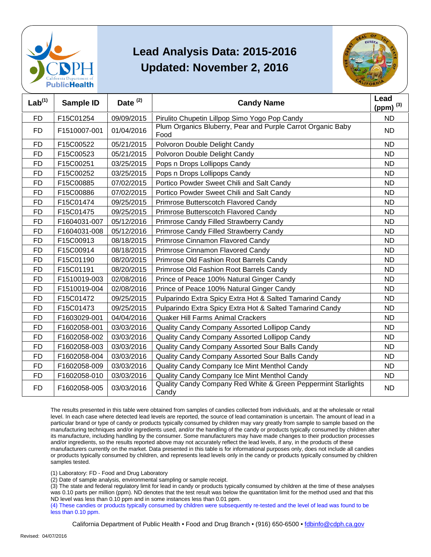



| Lab <sup>(1)</sup> | Sample ID    | Date <sup>(2)</sup> | <b>Candy Name</b>                                                      | Lead<br>(ppm) $^{(3)}$ |
|--------------------|--------------|---------------------|------------------------------------------------------------------------|------------------------|
| <b>FD</b>          | F15C01254    | 09/09/2015          | Pirulito Chupetin Lillpop Simo Yogo Pop Candy                          | <b>ND</b>              |
| FD.                | F1510007-001 | 01/04/2016          | Plum Organics Bluberry, Pear and Purple Carrot Organic Baby<br>Food    | ND.                    |
| <b>FD</b>          | F15C00522    | 05/21/2015          | Polvoron Double Delight Candy                                          | <b>ND</b>              |
| <b>FD</b>          | F15C00523    | 05/21/2015          | Polvoron Double Delight Candy                                          | <b>ND</b>              |
| <b>FD</b>          | F15C00251    | 03/25/2015          | Pops n Drops Lollipops Candy                                           | <b>ND</b>              |
| <b>FD</b>          | F15C00252    | 03/25/2015          | Pops n Drops Lollipops Candy                                           | <b>ND</b>              |
| <b>FD</b>          | F15C00885    | 07/02/2015          | Portico Powder Sweet Chili and Salt Candy                              | <b>ND</b>              |
| <b>FD</b>          | F15C00886    | 07/02/2015          | Portico Powder Sweet Chili and Salt Candy                              | <b>ND</b>              |
| <b>FD</b>          | F15C01474    | 09/25/2015          | Primrose Butterscotch Flavored Candy                                   | <b>ND</b>              |
| <b>FD</b>          | F15C01475    | 09/25/2015          | Primrose Butterscotch Flavored Candy                                   | <b>ND</b>              |
| <b>FD</b>          | F1604031-007 | 05/12/2016          | Primrose Candy Filled Strawberry Candy                                 | <b>ND</b>              |
| <b>FD</b>          | F1604031-008 | 05/12/2016          | Primrose Candy Filled Strawberry Candy                                 | <b>ND</b>              |
| <b>FD</b>          | F15C00913    | 08/18/2015          | Primrose Cinnamon Flavored Candy                                       | <b>ND</b>              |
| <b>FD</b>          | F15C00914    | 08/18/2015          | Primrose Cinnamon Flavored Candy                                       | <b>ND</b>              |
| <b>FD</b>          | F15C01190    | 08/20/2015          | Primrose Old Fashion Root Barrels Candy                                | <b>ND</b>              |
| <b>FD</b>          | F15C01191    | 08/20/2015          | Primrose Old Fashion Root Barrels Candy                                | <b>ND</b>              |
| <b>FD</b>          | F1510019-003 | 02/08/2016          | Prince of Peace 100% Natural Ginger Candy                              | <b>ND</b>              |
| <b>FD</b>          | F1510019-004 | 02/08/2016          | Prince of Peace 100% Natural Ginger Candy                              | <b>ND</b>              |
| <b>FD</b>          | F15C01472    | 09/25/2015          | Pulparindo Extra Spicy Extra Hot & Salted Tamarind Candy               | <b>ND</b>              |
| <b>FD</b>          | F15C01473    | 09/25/2015          | Pulparindo Extra Spicy Extra Hot & Salted Tamarind Candy               | <b>ND</b>              |
| <b>FD</b>          | F1603029-001 | 04/04/2016          | <b>Quaker Hill Farms Animal Crackers</b>                               | <b>ND</b>              |
| <b>FD</b>          | F1602058-001 | 03/03/2016          | Quality Candy Company Assorted Lollipop Candy                          | <b>ND</b>              |
| <b>FD</b>          | F1602058-002 | 03/03/2016          | Quality Candy Company Assorted Lollipop Candy                          | <b>ND</b>              |
| FD                 | F1602058-003 | 03/03/2016          | Quality Candy Company Assorted Sour Balls Candy                        | ND                     |
| <b>FD</b>          | F1602058-004 | 03/03/2016          | Quality Candy Company Assorted Sour Balls Candy                        | <b>ND</b>              |
| <b>FD</b>          | F1602058-009 | 03/03/2016          | Quality Candy Company Ice Mint Menthol Candy                           | <b>ND</b>              |
| <b>FD</b>          | F1602058-010 | 03/03/2016          | Quality Candy Company Ice Mint Menthol Candy                           | <b>ND</b>              |
| <b>FD</b>          | F1602058-005 | 03/03/2016          | Quality Candy Company Red White & Green Peppermint Starlights<br>Candy | <b>ND</b>              |

 The results presented in this table were obtained from samples of candies collected from individuals, and at the wholesale or retail level. In each case where detected lead levels are reported, the source of lead contamination is uncertain. The amount of lead in a particular brand or type of candy or products typically consumed by children may vary greatly from sample to sample based on the manufacturing techniques and/or ingredients used, and/or the handling of the candy or products typically consumed by children after and/or ingredients, so the results reported above may not accurately reflect the lead levels, if any, in the products of these or products typically consumed by children, and represents lead levels only in the candy or products typically consumed by children its manufacture, including handling by the consumer. Some manufacturers may have made changes to their production processes manufacturers currently on the market. Data presented in this table is for informational purposes only, does not include all candies samples tested.

(1) Laboratory: FD - Food and Drug Laboratory

(2) Date of sample analysis, environmental sampling or sample receipt.

 (3) The state and federal regulatory limit for lead in candy or products typically consumed by children at the time of these analyses ND level was less than 0.10 ppm and in some instances less than 0.01 ppm. was 0.10 parts per million (ppm). ND denotes that the test result was below the quantitation limit for the method used and that this

 (4) These candies or products typically consumed by children were subsequently re-tested and the level of lead was found to be less than 0.10 ppm.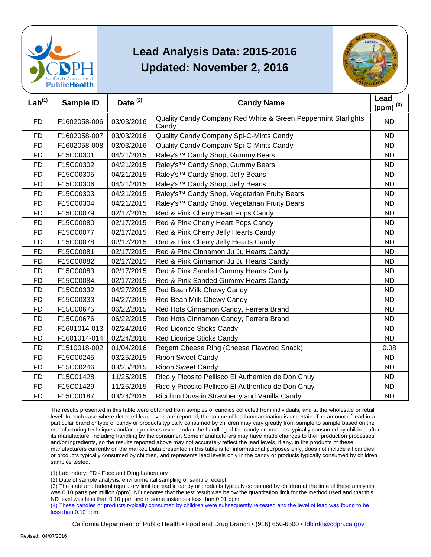



| Lab <sup>(1)</sup> | <b>Sample ID</b> | Date $(2)$ | <b>Candy Name</b>                                                      | Lead<br>(ppm) $^{(3)}$ |
|--------------------|------------------|------------|------------------------------------------------------------------------|------------------------|
| <b>FD</b>          | F1602058-006     | 03/03/2016 | Quality Candy Company Red White & Green Peppermint Starlights<br>Candy | <b>ND</b>              |
| <b>FD</b>          | F1602058-007     | 03/03/2016 | Quality Candy Company Spi-C-Mints Candy                                | <b>ND</b>              |
| <b>FD</b>          | F1602058-008     | 03/03/2016 | Quality Candy Company Spi-C-Mints Candy                                | <b>ND</b>              |
| <b>FD</b>          | F15C00301        | 04/21/2015 | Raley's™ Candy Shop, Gummy Bears                                       | <b>ND</b>              |
| <b>FD</b>          | F15C00302        | 04/21/2015 | Raley's™ Candy Shop, Gummy Bears                                       | ND                     |
| <b>FD</b>          | F15C00305        | 04/21/2015 | Raley's™ Candy Shop, Jelly Beans                                       | <b>ND</b>              |
| <b>FD</b>          | F15C00306        | 04/21/2015 | Raley's <sup>™</sup> Candy Shop, Jelly Beans                           | <b>ND</b>              |
| <b>FD</b>          | F15C00303        | 04/21/2015 | Raley's™ Candy Shop, Vegetarian Fruity Bears                           | <b>ND</b>              |
| <b>FD</b>          | F15C00304        | 04/21/2015 | Raley's™ Candy Shop, Vegetarian Fruity Bears                           | <b>ND</b>              |
| <b>FD</b>          | F15C00079        | 02/17/2015 | Red & Pink Cherry Heart Pops Candy                                     | <b>ND</b>              |
| <b>FD</b>          | F15C00080        | 02/17/2015 | Red & Pink Cherry Heart Pops Candy                                     | <b>ND</b>              |
| <b>FD</b>          | F15C00077        | 02/17/2015 | Red & Pink Cherry Jelly Hearts Candy                                   | <b>ND</b>              |
| <b>FD</b>          | F15C00078        | 02/17/2015 | Red & Pink Cherry Jelly Hearts Candy                                   | <b>ND</b>              |
| <b>FD</b>          | F15C00081        | 02/17/2015 | Red & Pink Cinnamon Ju Ju Hearts Candy                                 | <b>ND</b>              |
| <b>FD</b>          | F15C00082        | 02/17/2015 | Red & Pink Cinnamon Ju Ju Hearts Candy                                 | <b>ND</b>              |
| <b>FD</b>          | F15C00083        | 02/17/2015 | Red & Pink Sanded Gummy Hearts Candy                                   | <b>ND</b>              |
| <b>FD</b>          | F15C00084        | 02/17/2015 | Red & Pink Sanded Gummy Hearts Candy                                   | <b>ND</b>              |
| <b>FD</b>          | F15C00332        | 04/27/2015 | Red Bean Milk Chewy Candy                                              | <b>ND</b>              |
| <b>FD</b>          | F15C00333        | 04/27/2015 | Red Bean Milk Chewy Candy                                              | <b>ND</b>              |
| <b>FD</b>          | F15C00675        | 06/22/2015 | Red Hots Cinnamon Candy, Ferrera Brand                                 | <b>ND</b>              |
| <b>FD</b>          | F15C00676        | 06/22/2015 | Red Hots Cinnamon Candy, Ferrera Brand                                 | <b>ND</b>              |
| <b>FD</b>          | F1601014-013     | 02/24/2016 | Red Licorice Sticks Candy                                              | <b>ND</b>              |
| <b>FD</b>          | F1601014-014     | 02/24/2016 | Red Licorice Sticks Candy                                              | <b>ND</b>              |
| <b>FD</b>          | F1510018-002     | 01/04/2016 | Regent Cheese Ring (Cheese Flavored Snack)                             | 0.08                   |
| <b>FD</b>          | F15C00245        | 03/25/2015 | <b>Ribon Sweet Candy</b>                                               | <b>ND</b>              |
| <b>FD</b>          | F15C00246        | 03/25/2015 | <b>Ribon Sweet Candy</b>                                               | <b>ND</b>              |
| <b>FD</b>          | F15C01428        | 11/25/2015 | Rico y Picosito Pellisco El Authentico de Don Chuy                     | <b>ND</b>              |
| FD                 | F15C01429        | 11/25/2015 | Rico y Picosito Pellisco El Authentico de Don Chuy                     | <b>ND</b>              |
| <b>FD</b>          | F15C00187        | 03/24/2015 | Ricolino Duvalin Strawberry and Vanilla Candy                          | <b>ND</b>              |

 The results presented in this table were obtained from samples of candies collected from individuals, and at the wholesale or retail level. In each case where detected lead levels are reported, the source of lead contamination is uncertain. The amount of lead in a particular brand or type of candy or products typically consumed by children may vary greatly from sample to sample based on the manufacturing techniques and/or ingredients used, and/or the handling of the candy or products typically consumed by children after and/or ingredients, so the results reported above may not accurately reflect the lead levels, if any, in the products of these or products typically consumed by children, and represents lead levels only in the candy or products typically consumed by children its manufacture, including handling by the consumer. Some manufacturers may have made changes to their production processes manufacturers currently on the market. Data presented in this table is for informational purposes only, does not include all candies samples tested.

(1) Laboratory: FD - Food and Drug Laboratory

(2) Date of sample analysis, environmental sampling or sample receipt.

 (3) The state and federal regulatory limit for lead in candy or products typically consumed by children at the time of these analyses ND level was less than 0.10 ppm and in some instances less than 0.01 ppm. was 0.10 parts per million (ppm). ND denotes that the test result was below the quantitation limit for the method used and that this

 (4) These candies or products typically consumed by children were subsequently re-tested and the level of lead was found to be less than 0.10 ppm.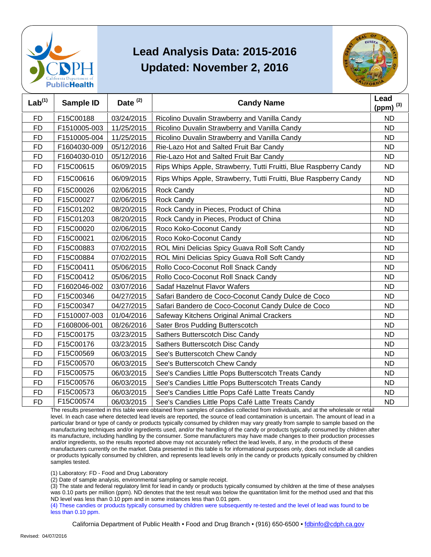



| Lab <sup>(1)</sup> | Sample ID    | Date <sup>(2)</sup> | <b>Candy Name</b>                                                 | Lead<br>(ppm) $^{(3)}$ |
|--------------------|--------------|---------------------|-------------------------------------------------------------------|------------------------|
| <b>FD</b>          | F15C00188    | 03/24/2015          | Ricolino Duvalin Strawberry and Vanilla Candy                     | <b>ND</b>              |
| <b>FD</b>          | F1510005-003 | 11/25/2015          | Ricolino Duvalin Strawberry and Vanilla Candy                     | <b>ND</b>              |
| <b>FD</b>          | F1510005-004 | 11/25/2015          | Ricolino Duvalin Strawberry and Vanilla Candy                     | <b>ND</b>              |
| <b>FD</b>          | F1604030-009 | 05/12/2016          | Rie-Lazo Hot and Salted Fruit Bar Candy                           | <b>ND</b>              |
| <b>FD</b>          | F1604030-010 | 05/12/2016          | Rie-Lazo Hot and Salted Fruit Bar Candy                           | <b>ND</b>              |
| <b>FD</b>          | F15C00615    | 06/09/2015          | Rips Whips Apple, Strawberry, Tutti Fruitti, Blue Raspberry Candy | <b>ND</b>              |
| <b>FD</b>          | F15C00616    | 06/09/2015          | Rips Whips Apple, Strawberry, Tutti Fruitti, Blue Raspberry Candy | <b>ND</b>              |
| <b>FD</b>          | F15C00026    | 02/06/2015          | <b>Rock Candy</b>                                                 | <b>ND</b>              |
| FD                 | F15C00027    | 02/06/2015          | <b>Rock Candy</b>                                                 | <b>ND</b>              |
| <b>FD</b>          | F15C01202    | 08/20/2015          | Rock Candy in Pieces, Product of China                            | <b>ND</b>              |
| <b>FD</b>          | F15C01203    | 08/20/2015          | Rock Candy in Pieces, Product of China                            | <b>ND</b>              |
| <b>FD</b>          | F15C00020    | 02/06/2015          | Roco Koko-Coconut Candy                                           | <b>ND</b>              |
| <b>FD</b>          | F15C00021    | 02/06/2015          | Roco Koko-Coconut Candy                                           | <b>ND</b>              |
| <b>FD</b>          | F15C00883    | 07/02/2015          | ROL Mini Delicias Spicy Guava Roll Soft Candy                     | <b>ND</b>              |
| <b>FD</b>          | F15C00884    | 07/02/2015          | ROL Mini Delicias Spicy Guava Roll Soft Candy                     | <b>ND</b>              |
| FD                 | F15C00411    | 05/06/2015          | Rollo Coco-Coconut Roll Snack Candy                               | <b>ND</b>              |
| <b>FD</b>          | F15C00412    | 05/06/2015          | Rollo Coco-Coconut Roll Snack Candy                               | <b>ND</b>              |
| <b>FD</b>          | F1602046-002 | 03/07/2016          | Sadaf Hazelnut Flavor Wafers                                      | <b>ND</b>              |
| FD                 | F15C00346    | 04/27/2015          | Safari Bandero de Coco-Coconut Candy Dulce de Coco                | <b>ND</b>              |
| <b>FD</b>          | F15C00347    | 04/27/2015          | Safari Bandero de Coco-Coconut Candy Dulce de Coco                | <b>ND</b>              |
| <b>FD</b>          | F1510007-003 | 01/04/2016          | Safeway Kitchens Original Animal Crackers                         | <b>ND</b>              |
| <b>FD</b>          | F1608006-001 | 08/26/2016          | Sater Bros Pudding Butterscotch                                   | <b>ND</b>              |
| <b>FD</b>          | F15C00175    | 03/23/2015          | Sathers Butterscotch Disc Candy                                   | <b>ND</b>              |
| <b>FD</b>          | F15C00176    | 03/23/2015          | Sathers Butterscotch Disc Candy                                   | <b>ND</b>              |
| <b>FD</b>          | F15C00569    | 06/03/2015          | See's Butterscotch Chew Candy                                     | <b>ND</b>              |
| <b>FD</b>          | F15C00570    | 06/03/2015          | See's Butterscotch Chew Candy                                     | <b>ND</b>              |
| <b>FD</b>          | F15C00575    | 06/03/2015          | See's Candies Little Pops Butterscotch Treats Candy               | <b>ND</b>              |
| <b>FD</b>          | F15C00576    | 06/03/2015          | See's Candies Little Pops Butterscotch Treats Candy               | <b>ND</b>              |
| <b>FD</b>          | F15C00573    | 06/03/2015          | See's Candies Little Pops Café Latte Treats Candy                 | <b>ND</b>              |
| <b>FD</b>          | F15C00574    | 06/03/2015          | See's Candies Little Pops Café Latte Treats Candy                 | <b>ND</b>              |

 The results presented in this table were obtained from samples of candies collected from individuals, and at the wholesale or retail level. In each case where detected lead levels are reported, the source of lead contamination is uncertain. The amount of lead in a particular brand or type of candy or products typically consumed by children may vary greatly from sample to sample based on the manufacturing techniques and/or ingredients used, and/or the handling of the candy or products typically consumed by children after and/or ingredients, so the results reported above may not accurately reflect the lead levels, if any, in the products of these or products typically consumed by children, and represents lead levels only in the candy or products typically consumed by children its manufacture, including handling by the consumer. Some manufacturers may have made changes to their production processes manufacturers currently on the market. Data presented in this table is for informational purposes only, does not include all candies samples tested.

(1) Laboratory: FD - Food and Drug Laboratory

(2) Date of sample analysis, environmental sampling or sample receipt.

 (3) The state and federal regulatory limit for lead in candy or products typically consumed by children at the time of these analyses ND level was less than 0.10 ppm and in some instances less than 0.01 ppm. was 0.10 parts per million (ppm). ND denotes that the test result was below the quantitation limit for the method used and that this

 (4) These candies or products typically consumed by children were subsequently re-tested and the level of lead was found to be less than 0.10 ppm.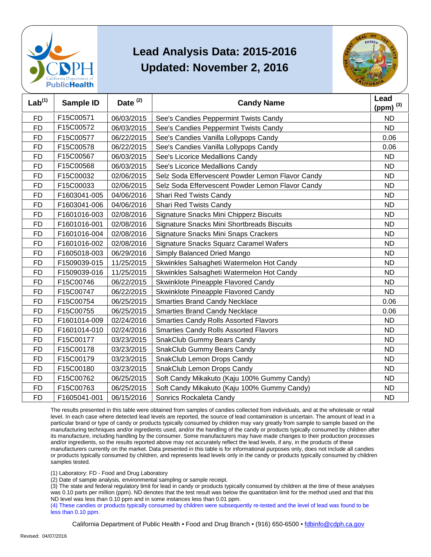



| Lab <sup>(1)</sup> | Sample ID    | Date <sup>(2)</sup> | <b>Candy Name</b>                                 | Lead<br>(ppm) $^{(3)}$ |
|--------------------|--------------|---------------------|---------------------------------------------------|------------------------|
| <b>FD</b>          | F15C00571    | 06/03/2015          | See's Candies Peppermint Twists Candy             | <b>ND</b>              |
| <b>FD</b>          | F15C00572    | 06/03/2015          | See's Candies Peppermint Twists Candy             | <b>ND</b>              |
| <b>FD</b>          | F15C00577    | 06/22/2015          | See's Candies Vanilla Lollypops Candy             | 0.06                   |
| <b>FD</b>          | F15C00578    | 06/22/2015          | See's Candies Vanilla Lollypops Candy             | 0.06                   |
| <b>FD</b>          | F15C00567    | 06/03/2015          | See's Licorice Medallions Candy                   | <b>ND</b>              |
| <b>FD</b>          | F15C00568    | 06/03/2015          | See's Licorice Medallions Candy                   | <b>ND</b>              |
| FD                 | F15C00032    | 02/06/2015          | Selz Soda Effervescent Powder Lemon Flavor Candy  | <b>ND</b>              |
| <b>FD</b>          | F15C00033    | 02/06/2015          | Selz Soda Effervescent Powder Lemon Flavor Candy  | <b>ND</b>              |
| <b>FD</b>          | F1603041-005 | 04/06/2016          | Shari Red Twists Candy                            | <b>ND</b>              |
| <b>FD</b>          | F1603041-006 | 04/06/2016          | Shari Red Twists Candy                            | <b>ND</b>              |
| FD                 | F1601016-003 | 02/08/2016          | Signature Snacks Mini Chipperz Biscuits           | <b>ND</b>              |
| <b>FD</b>          | F1601016-001 | 02/08/2016          | <b>Signature Snacks Mini Shortbreads Biscuits</b> | <b>ND</b>              |
| <b>FD</b>          | F1601016-004 | 02/08/2016          | Signature Snacks Mini Snaps Crackers              | <b>ND</b>              |
| FD                 | F1601016-002 | 02/08/2016          | Signature Snacks Squarz Caramel Wafers            | <b>ND</b>              |
| <b>FD</b>          | F1605018-003 | 06/29/2016          | Simply Balanced Dried Mango                       | <b>ND</b>              |
| <b>FD</b>          | F1509039-015 | 11/25/2015          | Skwinkles Salsagheti Watermelon Hot Candy         | <b>ND</b>              |
| <b>FD</b>          | F1509039-016 | 11/25/2015          | Skwinkles Salsagheti Watermelon Hot Candy         | <b>ND</b>              |
| <b>FD</b>          | F15C00746    | 06/22/2015          | Skwinklote Pineapple Flavored Candy               | <b>ND</b>              |
| <b>FD</b>          | F15C00747    | 06/22/2015          | Skwinklote Pineapple Flavored Candy               | <b>ND</b>              |
| <b>FD</b>          | F15C00754    | 06/25/2015          | <b>Smarties Brand Candy Necklace</b>              | 0.06                   |
| <b>FD</b>          | F15C00755    | 06/25/2015          | <b>Smarties Brand Candy Necklace</b>              | 0.06                   |
| <b>FD</b>          | F1601014-009 | 02/24/2016          | <b>Smarties Candy Rolls Assorted Flavors</b>      | <b>ND</b>              |
| <b>FD</b>          | F1601014-010 | 02/24/2016          | <b>Smarties Candy Rolls Assorted Flavors</b>      | <b>ND</b>              |
| <b>FD</b>          | F15C00177    | 03/23/2015          | SnakClub Gummy Bears Candy                        | <b>ND</b>              |
| <b>FD</b>          | F15C00178    | 03/23/2015          | <b>SnakClub Gummy Bears Candy</b>                 | <b>ND</b>              |
| <b>FD</b>          | F15C00179    | 03/23/2015          | SnakClub Lemon Drops Candy                        | <b>ND</b>              |
| <b>FD</b>          | F15C00180    | 03/23/2015          | SnakClub Lemon Drops Candy                        | <b>ND</b>              |
| <b>FD</b>          | F15C00762    | 06/25/2015          | Soft Candy Mikakuto (Kaju 100% Gummy Candy)       | <b>ND</b>              |
| <b>FD</b>          | F15C00763    | 06/25/2015          | Soft Candy Mikakuto (Kaju 100% Gummy Candy)       | <b>ND</b>              |
| <b>FD</b>          | F1605041-001 | 06/15/2016          | Sonrics Rockaleta Candy                           | <b>ND</b>              |

 The results presented in this table were obtained from samples of candies collected from individuals, and at the wholesale or retail level. In each case where detected lead levels are reported, the source of lead contamination is uncertain. The amount of lead in a particular brand or type of candy or products typically consumed by children may vary greatly from sample to sample based on the manufacturing techniques and/or ingredients used, and/or the handling of the candy or products typically consumed by children after and/or ingredients, so the results reported above may not accurately reflect the lead levels, if any, in the products of these or products typically consumed by children, and represents lead levels only in the candy or products typically consumed by children its manufacture, including handling by the consumer. Some manufacturers may have made changes to their production processes manufacturers currently on the market. Data presented in this table is for informational purposes only, does not include all candies samples tested.

(1) Laboratory: FD - Food and Drug Laboratory

(2) Date of sample analysis, environmental sampling or sample receipt.

 (3) The state and federal regulatory limit for lead in candy or products typically consumed by children at the time of these analyses ND level was less than 0.10 ppm and in some instances less than 0.01 ppm. was 0.10 parts per million (ppm). ND denotes that the test result was below the quantitation limit for the method used and that this

 (4) These candies or products typically consumed by children were subsequently re-tested and the level of lead was found to be less than 0.10 ppm.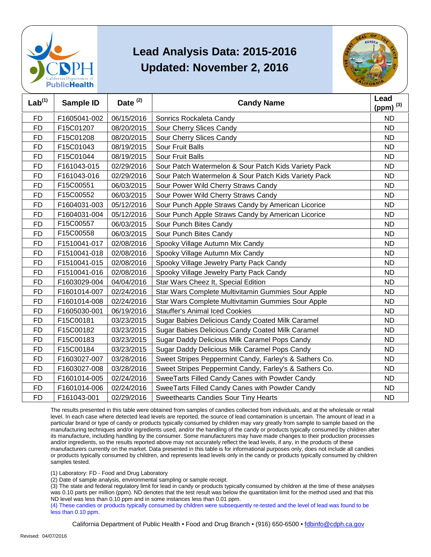



| Lab <sup>(1)</sup> | <b>Sample ID</b> | Date <sup>(2)</sup> | <b>Candy Name</b>                                      | Lead<br>(ppm) $(3)$ |
|--------------------|------------------|---------------------|--------------------------------------------------------|---------------------|
| <b>FD</b>          | F1605041-002     | 06/15/2016          | Sonrics Rockaleta Candy                                | <b>ND</b>           |
| <b>FD</b>          | F15C01207        | 08/20/2015          | Sour Cherry Slices Candy                               | <b>ND</b>           |
| <b>FD</b>          | F15C01208        | 08/20/2015          | Sour Cherry Slices Candy                               | <b>ND</b>           |
| <b>FD</b>          | F15C01043        | 08/19/2015          | <b>Sour Fruit Balls</b>                                | <b>ND</b>           |
| <b>FD</b>          | F15C01044        | 08/19/2015          | <b>Sour Fruit Balls</b>                                | <b>ND</b>           |
| <b>FD</b>          | F161043-015      | 02/29/2016          | Sour Patch Watermelon & Sour Patch Kids Variety Pack   | <b>ND</b>           |
| <b>FD</b>          | F161043-016      | 02/29/2016          | Sour Patch Watermelon & Sour Patch Kids Variety Pack   | <b>ND</b>           |
| <b>FD</b>          | F15C00551        | 06/03/2015          | Sour Power Wild Cherry Straws Candy                    | <b>ND</b>           |
| <b>FD</b>          | F15C00552        | 06/03/2015          | Sour Power Wild Cherry Straws Candy                    | <b>ND</b>           |
| <b>FD</b>          | F1604031-003     | 05/12/2016          | Sour Punch Apple Straws Candy by American Licorice     | <b>ND</b>           |
| <b>FD</b>          | F1604031-004     | 05/12/2016          | Sour Punch Apple Straws Candy by American Licorice     | <b>ND</b>           |
| <b>FD</b>          | F15C00557        | 06/03/2015          | Sour Punch Bites Candy                                 | <b>ND</b>           |
| <b>FD</b>          | F15C00558        | 06/03/2015          | Sour Punch Bites Candy                                 | <b>ND</b>           |
| FD                 | F1510041-017     | 02/08/2016          | Spooky Village Autumn Mix Candy                        | <b>ND</b>           |
| <b>FD</b>          | F1510041-018     | 02/08/2016          | Spooky Village Autumn Mix Candy                        | <b>ND</b>           |
| <b>FD</b>          | F1510041-015     | 02/08/2016          | Spooky Village Jewelry Party Pack Candy                | <b>ND</b>           |
| <b>FD</b>          | F1510041-016     | 02/08/2016          | Spooky Village Jewelry Party Pack Candy                | <b>ND</b>           |
| <b>FD</b>          | F1603029-004     | 04/04/2016          | Star Wars Cheez It, Special Edition                    | <b>ND</b>           |
| <b>FD</b>          | F1601014-007     | 02/24/2016          | Star Wars Complete Multivitamin Gummies Sour Apple     | <b>ND</b>           |
| FD                 | F1601014-008     | 02/24/2016          | Star Wars Complete Multivitamin Gummies Sour Apple     | <b>ND</b>           |
| <b>FD</b>          | F1605030-001     | 06/19/2016          | <b>Stauffer's Animal Iced Cookies</b>                  | <b>ND</b>           |
| <b>FD</b>          | F15C00181        | 03/23/2015          | Sugar Babies Delicious Candy Coated Milk Caramel       | <b>ND</b>           |
| <b>FD</b>          | F15C00182        | 03/23/2015          | Sugar Babies Delicious Candy Coated Milk Caramel       | <b>ND</b>           |
| FD                 | F15C00183        | 03/23/2015          | Sugar Daddy Delicious Milk Caramel Pops Candy          | <b>ND</b>           |
| <b>FD</b>          | F15C00184        | 03/23/2015          | Sugar Daddy Delicious Milk Caramel Pops Candy          | <b>ND</b>           |
| <b>FD</b>          | F1603027-007     | 03/28/2016          | Sweet Stripes Peppermint Candy, Farley's & Sathers Co. | <b>ND</b>           |
| <b>FD</b>          | F1603027-008     | 03/28/2016          | Sweet Stripes Peppermint Candy, Farley's & Sathers Co. | <b>ND</b>           |
| <b>FD</b>          | F1601014-005     | 02/24/2016          | SweeTarts Filled Candy Canes with Powder Candy         | <b>ND</b>           |
| <b>FD</b>          | F1601014-006     | 02/24/2016          | SweeTarts Filled Candy Canes with Powder Candy         | <b>ND</b>           |
| <b>FD</b>          | F161043-001      | 02/29/2016          | <b>Sweethearts Candies Sour Tiny Hearts</b>            | <b>ND</b>           |

 The results presented in this table were obtained from samples of candies collected from individuals, and at the wholesale or retail level. In each case where detected lead levels are reported, the source of lead contamination is uncertain. The amount of lead in a particular brand or type of candy or products typically consumed by children may vary greatly from sample to sample based on the manufacturing techniques and/or ingredients used, and/or the handling of the candy or products typically consumed by children after and/or ingredients, so the results reported above may not accurately reflect the lead levels, if any, in the products of these or products typically consumed by children, and represents lead levels only in the candy or products typically consumed by children its manufacture, including handling by the consumer. Some manufacturers may have made changes to their production processes manufacturers currently on the market. Data presented in this table is for informational purposes only, does not include all candies samples tested.

(1) Laboratory: FD - Food and Drug Laboratory

(2) Date of sample analysis, environmental sampling or sample receipt.

 (3) The state and federal regulatory limit for lead in candy or products typically consumed by children at the time of these analyses ND level was less than 0.10 ppm and in some instances less than 0.01 ppm. was 0.10 parts per million (ppm). ND denotes that the test result was below the quantitation limit for the method used and that this

 (4) These candies or products typically consumed by children were subsequently re-tested and the level of lead was found to be less than 0.10 ppm.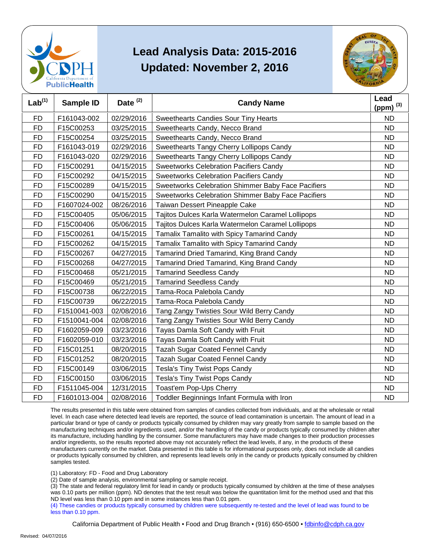



| Lab <sup>(1)</sup> | <b>Sample ID</b> | Date $(2)$ | <b>Candy Name</b>                                  | Lead<br>(ppm) $^{(3)}$ |
|--------------------|------------------|------------|----------------------------------------------------|------------------------|
| <b>FD</b>          | F161043-002      | 02/29/2016 | <b>Sweethearts Candies Sour Tiny Hearts</b>        | <b>ND</b>              |
| <b>FD</b>          | F15C00253        | 03/25/2015 | Sweethearts Candy, Necco Brand                     | <b>ND</b>              |
| <b>FD</b>          | F15C00254        | 03/25/2015 | Sweethearts Candy, Necco Brand                     | <b>ND</b>              |
| <b>FD</b>          | F161043-019      | 02/29/2016 | Sweethearts Tangy Cherry Lollipops Candy           | <b>ND</b>              |
| <b>FD</b>          | F161043-020      | 02/29/2016 | Sweethearts Tangy Cherry Lollipops Candy           | <b>ND</b>              |
| <b>FD</b>          | F15C00291        | 04/15/2015 | <b>Sweetworks Celebration Pacifiers Candy</b>      | <b>ND</b>              |
| <b>FD</b>          | F15C00292        | 04/15/2015 | Sweetworks Celebration Pacifiers Candy             | <b>ND</b>              |
| <b>FD</b>          | F15C00289        | 04/15/2015 | Sweetworks Celebration Shimmer Baby Face Pacifiers | <b>ND</b>              |
| <b>FD</b>          | F15C00290        | 04/15/2015 | Sweetworks Celebration Shimmer Baby Face Pacifiers | <b>ND</b>              |
| <b>FD</b>          | F1607024-002     | 08/26/2016 | Taiwan Dessert Pineapple Cake                      | <b>ND</b>              |
| FD                 | F15C00405        | 05/06/2015 | Tajitos Dulces Karla Watermelon Caramel Lollipops  | <b>ND</b>              |
| <b>FD</b>          | F15C00406        | 05/06/2015 | Tajitos Dulces Karla Watermelon Caramel Lollipops  | <b>ND</b>              |
| <b>FD</b>          | F15C00261        | 04/15/2015 | Tamalix Tamalito with Spicy Tamarind Candy         | <b>ND</b>              |
| <b>FD</b>          | F15C00262        | 04/15/2015 | Tamalix Tamalito with Spicy Tamarind Candy         | <b>ND</b>              |
| <b>FD</b>          | F15C00267        | 04/27/2015 | Tamarind Dried Tamarind, King Brand Candy          | <b>ND</b>              |
| <b>FD</b>          | F15C00268        | 04/27/2015 | Tamarind Dried Tamarind, King Brand Candy          | <b>ND</b>              |
| <b>FD</b>          | F15C00468        | 05/21/2015 | <b>Tamarind Seedless Candy</b>                     | <b>ND</b>              |
| <b>FD</b>          | F15C00469        | 05/21/2015 | <b>Tamarind Seedless Candy</b>                     | <b>ND</b>              |
| <b>FD</b>          | F15C00738        | 06/22/2015 | Tama-Roca Palebola Candy                           | <b>ND</b>              |
| <b>FD</b>          | F15C00739        | 06/22/2015 | Tama-Roca Palebola Candy                           | <b>ND</b>              |
| <b>FD</b>          | F1510041-003     | 02/08/2016 | Tang Zangy Twisties Sour Wild Berry Candy          | <b>ND</b>              |
| <b>FD</b>          | F1510041-004     | 02/08/2016 | Tang Zangy Twisties Sour Wild Berry Candy          | <b>ND</b>              |
| <b>FD</b>          | F1602059-009     | 03/23/2016 | Tayas Damla Soft Candy with Fruit                  | <b>ND</b>              |
| <b>FD</b>          | F1602059-010     | 03/23/2016 | Tayas Damla Soft Candy with Fruit                  | <b>ND</b>              |
| <b>FD</b>          | F15C01251        | 08/20/2015 | <b>Tazah Sugar Coated Fennel Candy</b>             | <b>ND</b>              |
| <b>FD</b>          | F15C01252        | 08/20/2015 | <b>Tazah Sugar Coated Fennel Candy</b>             | <b>ND</b>              |
| <b>FD</b>          | F15C00149        | 03/06/2015 | Tesla's Tiny Twist Pops Candy                      | <b>ND</b>              |
| <b>FD</b>          | F15C00150        | 03/06/2015 | Tesla's Tiny Twist Pops Candy                      | <b>ND</b>              |
| <b>FD</b>          | F1511045-004     | 12/31/2015 | Toast'em Pop-Ups Cherry                            | <b>ND</b>              |
| <b>FD</b>          | F1601013-004     | 02/08/2016 | Toddler Beginnings Infant Formula with Iron        | <b>ND</b>              |

 The results presented in this table were obtained from samples of candies collected from individuals, and at the wholesale or retail level. In each case where detected lead levels are reported, the source of lead contamination is uncertain. The amount of lead in a particular brand or type of candy or products typically consumed by children may vary greatly from sample to sample based on the manufacturing techniques and/or ingredients used, and/or the handling of the candy or products typically consumed by children after and/or ingredients, so the results reported above may not accurately reflect the lead levels, if any, in the products of these or products typically consumed by children, and represents lead levels only in the candy or products typically consumed by children its manufacture, including handling by the consumer. Some manufacturers may have made changes to their production processes manufacturers currently on the market. Data presented in this table is for informational purposes only, does not include all candies samples tested.

(1) Laboratory: FD - Food and Drug Laboratory

(2) Date of sample analysis, environmental sampling or sample receipt.

 (3) The state and federal regulatory limit for lead in candy or products typically consumed by children at the time of these analyses ND level was less than 0.10 ppm and in some instances less than 0.01 ppm. was 0.10 parts per million (ppm). ND denotes that the test result was below the quantitation limit for the method used and that this

 (4) These candies or products typically consumed by children were subsequently re-tested and the level of lead was found to be less than 0.10 ppm.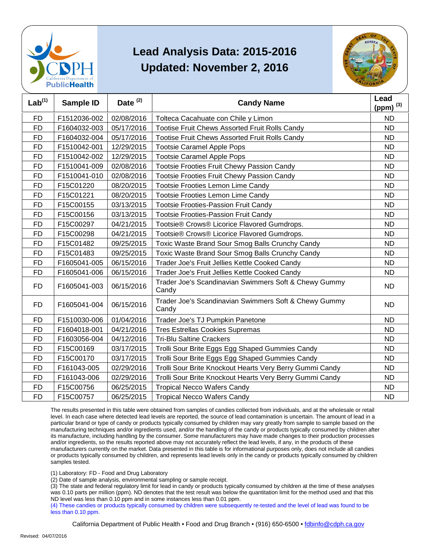



| Lab <sup>(1)</sup> | <b>Sample ID</b> | Date $(2)$ | <b>Candy Name</b>                                              | Lead<br>(ppm) $^{(3)}$ |
|--------------------|------------------|------------|----------------------------------------------------------------|------------------------|
| <b>FD</b>          | F1512036-002     | 02/08/2016 | Tolteca Cacahuate con Chile y Limon                            | <b>ND</b>              |
| <b>FD</b>          | F1604032-003     | 05/17/2016 | <b>Tootise Fruit Chews Assorted Fruit Rolls Candy</b>          | <b>ND</b>              |
| <b>FD</b>          | F1604032-004     | 05/17/2016 | Tootise Fruit Chews Assorted Fruit Rolls Candy                 | <b>ND</b>              |
| <b>FD</b>          | F1510042-001     | 12/29/2015 | <b>Tootsie Caramel Apple Pops</b>                              | <b>ND</b>              |
| <b>FD</b>          | F1510042-002     | 12/29/2015 | <b>Tootsie Caramel Apple Pops</b>                              | <b>ND</b>              |
| <b>FD</b>          | F1510041-009     | 02/08/2016 | Tootsie Frooties Fruit Chewy Passion Candy                     | <b>ND</b>              |
| <b>FD</b>          | F1510041-010     | 02/08/2016 | Tootsie Frooties Fruit Chewy Passion Candy                     | <b>ND</b>              |
| <b>FD</b>          | F15C01220        | 08/20/2015 | Tootsie Frooties Lemon Lime Candy                              | <b>ND</b>              |
| <b>FD</b>          | F15C01221        | 08/20/2015 | Tootsie Frooties Lemon Lime Candy                              | <b>ND</b>              |
| <b>FD</b>          | F15C00155        | 03/13/2015 | <b>Tootsie Frooties-Passion Fruit Candy</b>                    | <b>ND</b>              |
| <b>FD</b>          | F15C00156        | 03/13/2015 | <b>Tootsie Frooties-Passion Fruit Candy</b>                    | <b>ND</b>              |
| FD                 | F15C00297        | 04/21/2015 | Tootsie® Crows® Licorice Flavored Gumdrops.                    | <b>ND</b>              |
| <b>FD</b>          | F15C00298        | 04/21/2015 | Tootsie® Crows® Licorice Flavored Gumdrops.                    | <b>ND</b>              |
| <b>FD</b>          | F15C01482        | 09/25/2015 | Toxic Waste Brand Sour Smog Balls Crunchy Candy                | <b>ND</b>              |
| <b>FD</b>          | F15C01483        | 09/25/2015 | Toxic Waste Brand Sour Smog Balls Crunchy Candy                | <b>ND</b>              |
| <b>FD</b>          | F1605041-005     | 06/15/2016 | Trader Joe's Fruit Jellies Kettle Cooked Candy                 | <b>ND</b>              |
| <b>FD</b>          | F1605041-006     | 06/15/2016 | Trader Joe's Fruit Jellies Kettle Cooked Candy                 | <b>ND</b>              |
| <b>FD</b>          | F1605041-003     | 06/15/2016 | Trader Joe's Scandinavian Swimmers Soft & Chewy Gummy<br>Candy | <b>ND</b>              |
| <b>FD</b>          | F1605041-004     | 06/15/2016 | Trader Joe's Scandinavian Swimmers Soft & Chewy Gummy<br>Candy | <b>ND</b>              |
| <b>FD</b>          | F1510030-006     | 01/04/2016 | Trader Joe's TJ Pumpkin Panetone                               | <b>ND</b>              |
| <b>FD</b>          | F1604018-001     | 04/21/2016 | <b>Tres Estrellas Cookies Supremas</b>                         | <b>ND</b>              |
| <b>FD</b>          | F1603056-004     | 04/12/2016 | <b>Tri-Blu Saltine Crackers</b>                                | <b>ND</b>              |
| <b>FD</b>          | F15C00169        | 03/17/2015 | Trolli Sour Brite Eggs Egg Shaped Gummies Candy                | <b>ND</b>              |
| <b>FD</b>          | F15C00170        | 03/17/2015 | Trolli Sour Brite Eggs Egg Shaped Gummies Candy                | <b>ND</b>              |
| <b>FD</b>          | F161043-005      | 02/29/2016 | Trolli Sour Brite Knockout Hearts Very Berry Gummi Candy       | <b>ND</b>              |
| <b>FD</b>          | F161043-006      | 02/29/2016 | Trolli Sour Brite Knockout Hearts Very Berry Gummi Candy       | <b>ND</b>              |
| <b>FD</b>          | F15C00756        | 06/25/2015 | <b>Tropical Necco Wafers Candy</b>                             | <b>ND</b>              |
| <b>FD</b>          | F15C00757        | 06/25/2015 | <b>Tropical Necco Wafers Candy</b>                             | <b>ND</b>              |

 The results presented in this table were obtained from samples of candies collected from individuals, and at the wholesale or retail level. In each case where detected lead levels are reported, the source of lead contamination is uncertain. The amount of lead in a particular brand or type of candy or products typically consumed by children may vary greatly from sample to sample based on the manufacturing techniques and/or ingredients used, and/or the handling of the candy or products typically consumed by children after and/or ingredients, so the results reported above may not accurately reflect the lead levels, if any, in the products of these or products typically consumed by children, and represents lead levels only in the candy or products typically consumed by children its manufacture, including handling by the consumer. Some manufacturers may have made changes to their production processes manufacturers currently on the market. Data presented in this table is for informational purposes only, does not include all candies samples tested.

(1) Laboratory: FD - Food and Drug Laboratory

(2) Date of sample analysis, environmental sampling or sample receipt.

 (3) The state and federal regulatory limit for lead in candy or products typically consumed by children at the time of these analyses ND level was less than 0.10 ppm and in some instances less than 0.01 ppm. was 0.10 parts per million (ppm). ND denotes that the test result was below the quantitation limit for the method used and that this

 (4) These candies or products typically consumed by children were subsequently re-tested and the level of lead was found to be less than 0.10 ppm.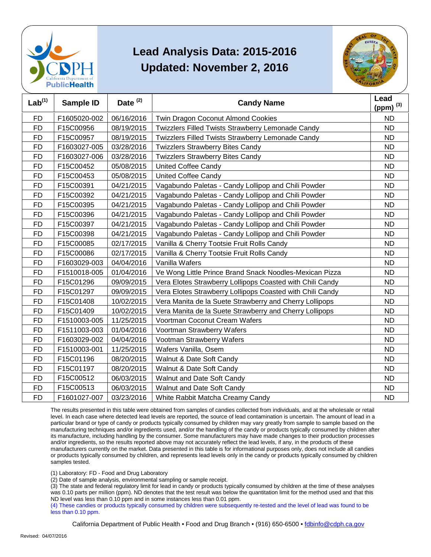



| Lab <sup>(1)</sup> | <b>Sample ID</b> | Date <sup>(2)</sup> | <b>Candy Name</b>                                         | Lead<br>(ppm) $^{(3)}$ |
|--------------------|------------------|---------------------|-----------------------------------------------------------|------------------------|
| <b>FD</b>          | F1605020-002     | 06/16/2016          | Twin Dragon Coconut Almond Cookies                        | <b>ND</b>              |
| <b>FD</b>          | F15C00956        | 08/19/2015          | Twizzlers Filled Twists Strawberry Lemonade Candy         | <b>ND</b>              |
| <b>FD</b>          | F15C00957        | 08/19/2015          | Twizzlers Filled Twists Strawberry Lemonade Candy         | <b>ND</b>              |
| <b>FD</b>          | F1603027-005     | 03/28/2016          | <b>Twizzlers Strawberry Bites Candy</b>                   | <b>ND</b>              |
| <b>FD</b>          | F1603027-006     | 03/28/2016          | <b>Twizzlers Strawberry Bites Candy</b>                   | <b>ND</b>              |
| <b>FD</b>          | F15C00452        | 05/08/2015          | <b>United Coffee Candy</b>                                | <b>ND</b>              |
| <b>FD</b>          | F15C00453        | 05/08/2015          | <b>United Coffee Candy</b>                                | <b>ND</b>              |
| FD                 | F15C00391        | 04/21/2015          | Vagabundo Paletas - Candy Lollipop and Chili Powder       | <b>ND</b>              |
| <b>FD</b>          | F15C00392        | 04/21/2015          | Vagabundo Paletas - Candy Lollipop and Chili Powder       | <b>ND</b>              |
| <b>FD</b>          | F15C00395        | 04/21/2015          | Vagabundo Paletas - Candy Lollipop and Chili Powder       | <b>ND</b>              |
| <b>FD</b>          | F15C00396        | 04/21/2015          | Vagabundo Paletas - Candy Lollipop and Chili Powder       | <b>ND</b>              |
| <b>FD</b>          | F15C00397        | 04/21/2015          | Vagabundo Paletas - Candy Lollipop and Chili Powder       | <b>ND</b>              |
| <b>FD</b>          | F15C00398        | 04/21/2015          | Vagabundo Paletas - Candy Lollipop and Chili Powder       | <b>ND</b>              |
| FD                 | F15C00085        | 02/17/2015          | Vanilla & Cherry Tootsie Fruit Rolls Candy                | <b>ND</b>              |
| <b>FD</b>          | F15C00086        | 02/17/2015          | Vanilla & Cherry Tootsie Fruit Rolls Candy                | <b>ND</b>              |
| <b>FD</b>          | F1603029-003     | 04/04/2016          | Vanilla Wafers                                            | <b>ND</b>              |
| <b>FD</b>          | F1510018-005     | 01/04/2016          | Ve Wong Little Prince Brand Snack Noodles-Mexican Pizza   | <b>ND</b>              |
| <b>FD</b>          | F15C01296        | 09/09/2015          | Vera Elotes Strawberry Lollipops Coasted with Chili Candy | <b>ND</b>              |
| <b>FD</b>          | F15C01297        | 09/09/2015          | Vera Elotes Strawberry Lollipops Coasted with Chili Candy | <b>ND</b>              |
| FD                 | F15C01408        | 10/02/2015          | Vera Manita de la Suete Strawberry and Cherry Lollipops   | <b>ND</b>              |
| <b>FD</b>          | F15C01409        | 10/02/2015          | Vera Manita de la Suete Strawberry and Cherry Lollipops   | <b>ND</b>              |
| <b>FD</b>          | F1510003-005     | 11/25/2015          | Voortman Coconut Cream Wafers                             | <b>ND</b>              |
| <b>FD</b>          | F1511003-003     | 01/04/2016          | Voortman Strawberry Wafers                                | <b>ND</b>              |
| <b>FD</b>          | F1603029-002     | 04/04/2016          | Vootman Strawberry Wafers                                 | <b>ND</b>              |
| <b>FD</b>          | F1510003-001     | 11/25/2015          | Wafers Vanilla, Osem                                      | <b>ND</b>              |
| FD                 | F15C01196        | 08/20/2015          | Walnut & Date Soft Candy                                  | <b>ND</b>              |
| <b>FD</b>          | F15C01197        | 08/20/2015          | Walnut & Date Soft Candy                                  | <b>ND</b>              |
| <b>FD</b>          | F15C00512        | 06/03/2015          | Walnut and Date Soft Candy                                | <b>ND</b>              |
| <b>FD</b>          | F15C00513        | 06/03/2015          | Walnut and Date Soft Candy                                | <b>ND</b>              |
| <b>FD</b>          | F1601027-007     | 03/23/2016          | White Rabbit Matcha Creamy Candy                          | <b>ND</b>              |

 The results presented in this table were obtained from samples of candies collected from individuals, and at the wholesale or retail level. In each case where detected lead levels are reported, the source of lead contamination is uncertain. The amount of lead in a particular brand or type of candy or products typically consumed by children may vary greatly from sample to sample based on the manufacturing techniques and/or ingredients used, and/or the handling of the candy or products typically consumed by children after and/or ingredients, so the results reported above may not accurately reflect the lead levels, if any, in the products of these or products typically consumed by children, and represents lead levels only in the candy or products typically consumed by children its manufacture, including handling by the consumer. Some manufacturers may have made changes to their production processes manufacturers currently on the market. Data presented in this table is for informational purposes only, does not include all candies samples tested.

(1) Laboratory: FD - Food and Drug Laboratory

(2) Date of sample analysis, environmental sampling or sample receipt.

 (3) The state and federal regulatory limit for lead in candy or products typically consumed by children at the time of these analyses ND level was less than 0.10 ppm and in some instances less than 0.01 ppm. was 0.10 parts per million (ppm). ND denotes that the test result was below the quantitation limit for the method used and that this

 (4) These candies or products typically consumed by children were subsequently re-tested and the level of lead was found to be less than 0.10 ppm.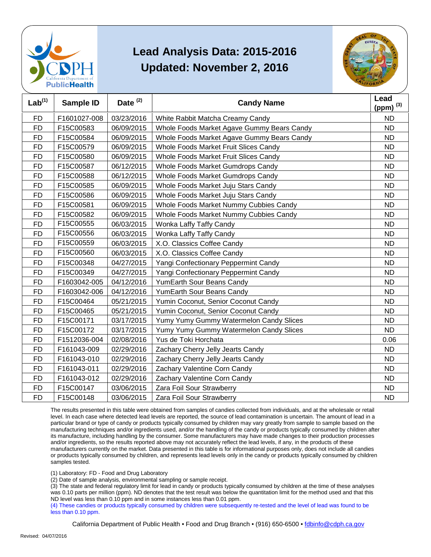



| Lab <sup>(1)</sup> | <b>Sample ID</b> | Date <sup>(2)</sup> | <b>Candy Name</b>                          | Lead<br>(ppm) $^{(3)}$ |
|--------------------|------------------|---------------------|--------------------------------------------|------------------------|
| <b>FD</b>          | F1601027-008     | 03/23/2016          | White Rabbit Matcha Creamy Candy           | <b>ND</b>              |
| <b>FD</b>          | F15C00583        | 06/09/2015          | Whole Foods Market Agave Gummy Bears Candy | <b>ND</b>              |
| <b>FD</b>          | F15C00584        | 06/09/2015          | Whole Foods Market Agave Gummy Bears Candy | <b>ND</b>              |
| <b>FD</b>          | F15C00579        | 06/09/2015          | Whole Foods Market Fruit Slices Candy      | <b>ND</b>              |
| <b>FD</b>          | F15C00580        | 06/09/2015          | Whole Foods Market Fruit Slices Candy      | <b>ND</b>              |
| <b>FD</b>          | F15C00587        | 06/12/2015          | Whole Foods Market Gumdrops Candy          | <b>ND</b>              |
| <b>FD</b>          | F15C00588        | 06/12/2015          | Whole Foods Market Gumdrops Candy          | <b>ND</b>              |
| <b>FD</b>          | F15C00585        | 06/09/2015          | Whole Foods Market Juju Stars Candy        | <b>ND</b>              |
| <b>FD</b>          | F15C00586        | 06/09/2015          | Whole Foods Market Juju Stars Candy        | <b>ND</b>              |
| <b>FD</b>          | F15C00581        | 06/09/2015          | Whole Foods Market Nummy Cubbies Candy     | <b>ND</b>              |
| <b>FD</b>          | F15C00582        | 06/09/2015          | Whole Foods Market Nummy Cubbies Candy     | <b>ND</b>              |
| <b>FD</b>          | F15C00555        | 06/03/2015          | Wonka Laffy Taffy Candy                    | <b>ND</b>              |
| <b>FD</b>          | F15C00556        | 06/03/2015          | Wonka Laffy Taffy Candy                    | <b>ND</b>              |
| <b>FD</b>          | F15C00559        | 06/03/2015          | X.O. Classics Coffee Candy                 | <b>ND</b>              |
| <b>FD</b>          | F15C00560        | 06/03/2015          | X.O. Classics Coffee Candy                 | <b>ND</b>              |
| <b>FD</b>          | F15C00348        | 04/27/2015          | Yangi Confectionary Peppermint Candy       | <b>ND</b>              |
| <b>FD</b>          | F15C00349        | 04/27/2015          | Yangi Confectionary Peppermint Candy       | <b>ND</b>              |
| <b>FD</b>          | F1603042-005     | 04/12/2016          | YumEarth Sour Beans Candy                  | <b>ND</b>              |
| <b>FD</b>          | F1603042-006     | 04/12/2016          | YumEarth Sour Beans Candy                  | <b>ND</b>              |
| <b>FD</b>          | F15C00464        | 05/21/2015          | Yumin Coconut, Senior Coconut Candy        | <b>ND</b>              |
| <b>FD</b>          | F15C00465        | 05/21/2015          | Yumin Coconut, Senior Coconut Candy        | <b>ND</b>              |
| <b>FD</b>          | F15C00171        | 03/17/2015          | Yumy Yumy Gummy Watermelon Candy Slices    | <b>ND</b>              |
| <b>FD</b>          | F15C00172        | 03/17/2015          | Yumy Yumy Gummy Watermelon Candy Slices    | <b>ND</b>              |
| <b>FD</b>          | F1512036-004     | 02/08/2016          | Yus de Toki Horchata                       | 0.06                   |
| <b>FD</b>          | F161043-009      | 02/29/2016          | Zachary Cherry Jelly Jearts Candy          | <b>ND</b>              |
| <b>FD</b>          | F161043-010      | 02/29/2016          | Zachary Cherry Jelly Jearts Candy          | <b>ND</b>              |
| <b>FD</b>          | F161043-011      | 02/29/2016          | Zachary Valentine Corn Candy               | <b>ND</b>              |
| <b>FD</b>          | F161043-012      | 02/29/2016          | Zachary Valentine Corn Candy               | <b>ND</b>              |
| <b>FD</b>          | F15C00147        | 03/06/2015          | Zara Foil Sour Strawberry                  | <b>ND</b>              |
| <b>FD</b>          | F15C00148        | 03/06/2015          | Zara Foil Sour Strawberry                  | <b>ND</b>              |

 The results presented in this table were obtained from samples of candies collected from individuals, and at the wholesale or retail level. In each case where detected lead levels are reported, the source of lead contamination is uncertain. The amount of lead in a particular brand or type of candy or products typically consumed by children may vary greatly from sample to sample based on the manufacturing techniques and/or ingredients used, and/or the handling of the candy or products typically consumed by children after and/or ingredients, so the results reported above may not accurately reflect the lead levels, if any, in the products of these or products typically consumed by children, and represents lead levels only in the candy or products typically consumed by children its manufacture, including handling by the consumer. Some manufacturers may have made changes to their production processes manufacturers currently on the market. Data presented in this table is for informational purposes only, does not include all candies samples tested.

(1) Laboratory: FD - Food and Drug Laboratory

(2) Date of sample analysis, environmental sampling or sample receipt.

 (3) The state and federal regulatory limit for lead in candy or products typically consumed by children at the time of these analyses ND level was less than 0.10 ppm and in some instances less than 0.01 ppm. was 0.10 parts per million (ppm). ND denotes that the test result was below the quantitation limit for the method used and that this

 (4) These candies or products typically consumed by children were subsequently re-tested and the level of lead was found to be less than 0.10 ppm.